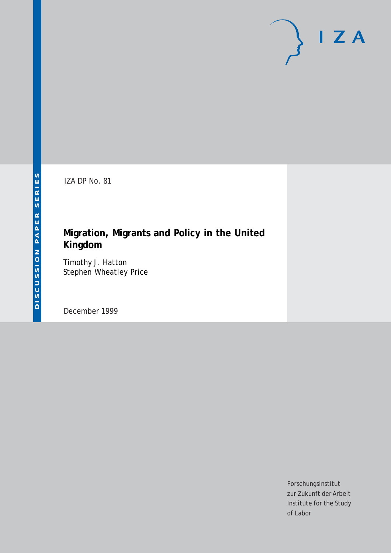# $I Z A$

IZA DP No. 81

# **Migration, Migrants and Policy in the United Kingdom**

Timothy J. Hatton Stephen Wheatley Price

December 1999

Forschungsinstitut zur Zukunft der Arbeit Institute for the Study of Labor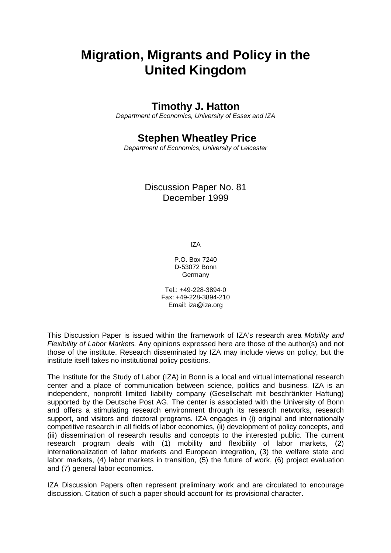# **Migration, Migrants and Policy in the United Kingdom**

# **Timothy J. Hatton**

Department of Economics, University of Essex and IZA

# **Stephen Wheatley Price**

Department of Economics, University of Leicester

Discussion Paper No. 81 December 1999

IZA

P.O. Box 7240 D-53072 Bonn Germany

Tel.: +49-228-3894-0 Fax: +49-228-3894-210 Email: iza@iza.org

This Discussion Paper is issued within the framework of IZA's research area Mobility and Flexibility of Labor Markets. Any opinions expressed here are those of the author(s) and not those of the institute. Research disseminated by IZA may include views on policy, but the institute itself takes no institutional policy positions.

The Institute for the Study of Labor (IZA) in Bonn is a local and virtual international research center and a place of communication between science, politics and business. IZA is an independent, nonprofit limited liability company (Gesellschaft mit beschränkter Haftung) supported by the Deutsche Post AG. The center is associated with the University of Bonn and offers a stimulating research environment through its research networks, research support, and visitors and doctoral programs. IZA engages in (i) original and internationally competitive research in all fields of labor economics, (ii) development of policy concepts, and (iii) dissemination of research results and concepts to the interested public. The current research program deals with (1) mobility and flexibility of labor markets, (2) internationalization of labor markets and European integration, (3) the welfare state and labor markets, (4) labor markets in transition, (5) the future of work, (6) project evaluation and (7) general labor economics.

IZA Discussion Papers often represent preliminary work and are circulated to encourage discussion. Citation of such a paper should account for its provisional character.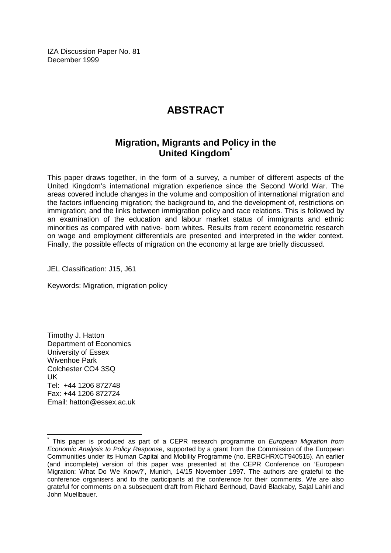IZA Discussion Paper No. 81 December 1999

# **ABSTRACT**

# **Migration, Migrants and Policy in the United Kingdom\***

This paper draws together, in the form of a survey, a number of different aspects of the United Kingdom's international migration experience since the Second World War. The areas covered include changes in the volume and composition of international migration and the factors influencing migration; the background to, and the development of, restrictions on immigration; and the links between immigration policy and race relations. This is followed by an examination of the education and labour market status of immigrants and ethnic minorities as compared with native- born whites. Results from recent econometric research on wage and employment differentials are presented and interpreted in the wider context. Finally, the possible effects of migration on the economy at large are briefly discussed.

JEL Classification: J15, J61

Keywords: Migration, migration policy

Timothy J. Hatton Department of Economics University of Essex Wivenhoe Park Colchester CO4 3SQ UK Tel: +44 1206 872748 Fax: +44 1206 872724 Email: hatton@essex.ac.uk

<sup>\*</sup> This paper is produced as part of a CEPR research programme on European Migration from Economic Analysis to Policy Response, supported by a grant from the Commission of the European Communities under its Human Capital and Mobility Programme (no. ERBCHRXCT940515). An earlier (and incomplete) version of this paper was presented at the CEPR Conference on 'European Migration: What Do We Know?', Munich, 14/15 November 1997. The authors are grateful to the conference organisers and to the participants at the conference for their comments. We are also grateful for comments on a subsequent draft from Richard Berthoud, David Blackaby, Sajal Lahiri and John Muellbauer.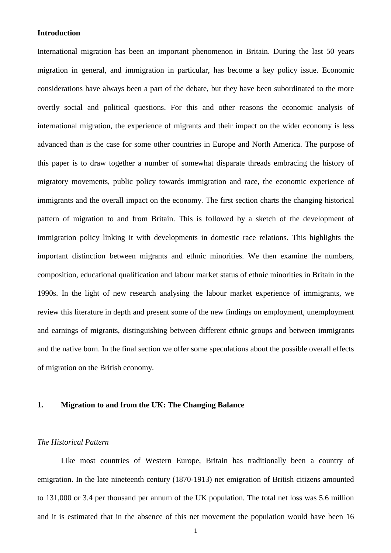#### **Introduction**

International migration has been an important phenomenon in Britain. During the last 50 years migration in general, and immigration in particular, has become a key policy issue. Economic considerations have always been a part of the debate, but they have been subordinated to the more overtly social and political questions. For this and other reasons the economic analysis of international migration, the experience of migrants and their impact on the wider economy is less advanced than is the case for some other countries in Europe and North America. The purpose of this paper is to draw together a number of somewhat disparate threads embracing the history of migratory movements, public policy towards immigration and race, the economic experience of immigrants and the overall impact on the economy. The first section charts the changing historical pattern of migration to and from Britain. This is followed by a sketch of the development of immigration policy linking it with developments in domestic race relations. This highlights the important distinction between migrants and ethnic minorities. We then examine the numbers, composition, educational qualification and labour market status of ethnic minorities in Britain in the 1990s. In the light of new research analysing the labour market experience of immigrants, we review this literature in depth and present some of the new findings on employment, unemployment and earnings of migrants, distinguishing between different ethnic groups and between immigrants and the native born. In the final section we offer some speculations about the possible overall effects of migration on the British economy.

#### **1. Migration to and from the UK: The Changing Balance**

#### *The Historical Pattern*

 Like most countries of Western Europe, Britain has traditionally been a country of emigration. In the late nineteenth century (1870-1913) net emigration of British citizens amounted to 131,000 or 3.4 per thousand per annum of the UK population. The total net loss was 5.6 million and it is estimated that in the absence of this net movement the population would have been 16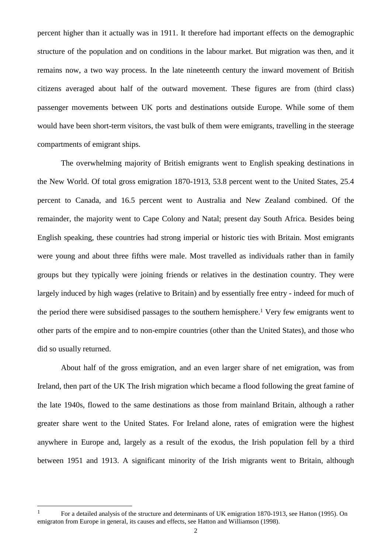percent higher than it actually was in 1911. It therefore had important effects on the demographic structure of the population and on conditions in the labour market. But migration was then, and it remains now, a two way process. In the late nineteenth century the inward movement of British citizens averaged about half of the outward movement. These figures are from (third class) passenger movements between UK ports and destinations outside Europe. While some of them would have been short-term visitors, the vast bulk of them were emigrants, travelling in the steerage compartments of emigrant ships.

 The overwhelming majority of British emigrants went to English speaking destinations in the New World. Of total gross emigration 1870-1913, 53.8 percent went to the United States, 25.4 percent to Canada, and 16.5 percent went to Australia and New Zealand combined. Of the remainder, the majority went to Cape Colony and Natal; present day South Africa. Besides being English speaking, these countries had strong imperial or historic ties with Britain. Most emigrants were young and about three fifths were male. Most travelled as individuals rather than in family groups but they typically were joining friends or relatives in the destination country. They were largely induced by high wages (relative to Britain) and by essentially free entry - indeed for much of the period there were subsidised passages to the southern hemisphere.<sup>1</sup> Very few emigrants went to other parts of the empire and to non-empire countries (other than the United States), and those who did so usually returned.

 About half of the gross emigration, and an even larger share of net emigration, was from Ireland, then part of the UK The Irish migration which became a flood following the great famine of the late 1940s, flowed to the same destinations as those from mainland Britain, although a rather greater share went to the United States. For Ireland alone, rates of emigration were the highest anywhere in Europe and, largely as a result of the exodus, the Irish population fell by a third between 1951 and 1913. A significant minority of the Irish migrants went to Britain, although

-

For a detailed analysis of the structure and determinants of UK emigration 1870-1913, see Hatton (1995). On emigraton from Europe in general, its causes and effects, see Hatton and Williamson (1998).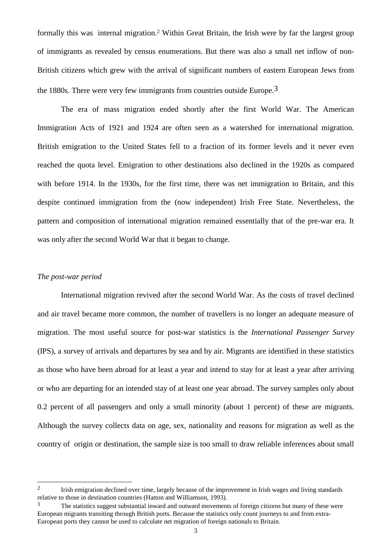formally this was internal migration.2 Within Great Britain, the Irish were by far the largest group of immigrants as revealed by census enumerations. But there was also a small net inflow of non-British citizens which grew with the arrival of significant numbers of eastern European Jews from the 1880s. There were very few immigrants from countries outside Europe.<sup>3</sup>

 The era of mass migration ended shortly after the first World War. The American Immigration Acts of 1921 and 1924 are often seen as a watershed for international migration. British emigration to the United States fell to a fraction of its former levels and it never even reached the quota level. Emigration to other destinations also declined in the 1920s as compared with before 1914. In the 1930s, for the first time, there was net immigration to Britain, and this despite continued immigration from the (now independent) Irish Free State. Nevertheless, the pattern and composition of international migration remained essentially that of the pre-war era. It was only after the second World War that it began to change.

#### *The post-war period*

-

 International migration revived after the second World War. As the costs of travel declined and air travel became more common, the number of travellers is no longer an adequate measure of migration. The most useful source for post-war statistics is the *International Passenger Survey* (IPS), a survey of arrivals and departures by sea and by air. Migrants are identified in these statistics as those who have been abroad for at least a year and intend to stay for at least a year after arriving or who are departing for an intended stay of at least one year abroad. The survey samples only about 0.2 percent of all passengers and only a small minority (about 1 percent) of these are migrants. Although the survey collects data on age, sex, nationality and reasons for migration as well as the country of origin or destination, the sample size is too small to draw reliable inferences about small

<sup>&</sup>lt;sup>2</sup> Irish emigration declined over time, largely because of the improvement in Irish wages and living standards relative to those in destination countries (Hatton and Williamson, 1993).

<sup>&</sup>lt;sup>3</sup> The statistics suggest substantial inward and outward movements of foreign citizens but many of these were European migrants transiting through British ports. Because the statistics only count journeys to and from extra-European ports they cannot be used to calculate net migration of foreign nationals to Britain.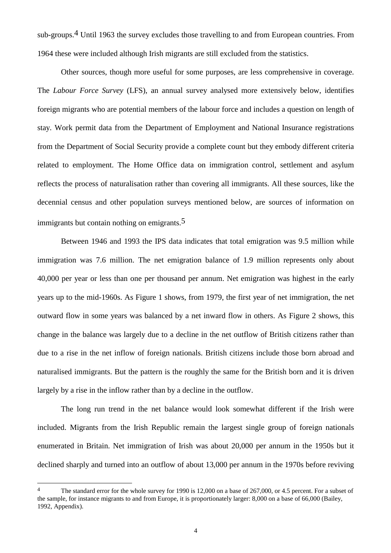sub-groups.4 Until 1963 the survey excludes those travelling to and from European countries. From 1964 these were included although Irish migrants are still excluded from the statistics.

 Other sources, though more useful for some purposes, are less comprehensive in coverage. The *Labour Force Survey* (LFS), an annual survey analysed more extensively below, identifies foreign migrants who are potential members of the labour force and includes a question on length of stay. Work permit data from the Department of Employment and National Insurance registrations from the Department of Social Security provide a complete count but they embody different criteria related to employment. The Home Office data on immigration control, settlement and asylum reflects the process of naturalisation rather than covering all immigrants. All these sources, like the decennial census and other population surveys mentioned below, are sources of information on immigrants but contain nothing on emigrants.<sup>5</sup>

 Between 1946 and 1993 the IPS data indicates that total emigration was 9.5 million while immigration was 7.6 million. The net emigration balance of 1.9 million represents only about 40,000 per year or less than one per thousand per annum. Net emigration was highest in the early years up to the mid-1960s. As Figure 1 shows, from 1979, the first year of net immigration, the net outward flow in some years was balanced by a net inward flow in others. As Figure 2 shows, this change in the balance was largely due to a decline in the net outflow of British citizens rather than due to a rise in the net inflow of foreign nationals. British citizens include those born abroad and naturalised immigrants. But the pattern is the roughly the same for the British born and it is driven largely by a rise in the inflow rather than by a decline in the outflow.

 The long run trend in the net balance would look somewhat different if the Irish were included. Migrants from the Irish Republic remain the largest single group of foreign nationals enumerated in Britain. Net immigration of Irish was about 20,000 per annum in the 1950s but it declined sharply and turned into an outflow of about 13,000 per annum in the 1970s before reviving

 $\overline{a}$ 

<sup>&</sup>lt;sup>4</sup> The standard error for the whole survey for 1990 is 12,000 on a base of 267,000, or 4.5 percent. For a subset of the sample, for instance migrants to and from Europe, it is proportionately larger: 8,000 on a base of 66,000 (Bailey, 1992, Appendix).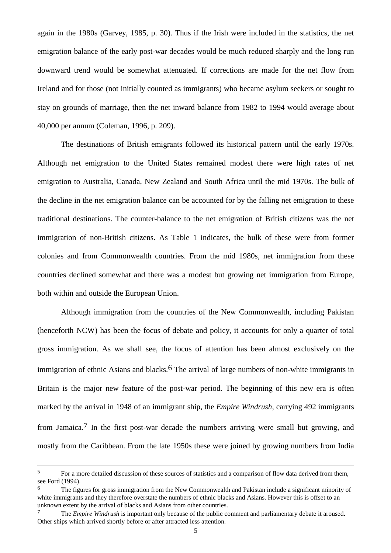again in the 1980s (Garvey, 1985, p. 30). Thus if the Irish were included in the statistics, the net emigration balance of the early post-war decades would be much reduced sharply and the long run downward trend would be somewhat attenuated. If corrections are made for the net flow from Ireland and for those (not initially counted as immigrants) who became asylum seekers or sought to stay on grounds of marriage, then the net inward balance from 1982 to 1994 would average about 40,000 per annum (Coleman, 1996, p. 209).

 The destinations of British emigrants followed its historical pattern until the early 1970s. Although net emigration to the United States remained modest there were high rates of net emigration to Australia, Canada, New Zealand and South Africa until the mid 1970s. The bulk of the decline in the net emigration balance can be accounted for by the falling net emigration to these traditional destinations. The counter-balance to the net emigration of British citizens was the net immigration of non-British citizens. As Table 1 indicates, the bulk of these were from former colonies and from Commonwealth countries. From the mid 1980s, net immigration from these countries declined somewhat and there was a modest but growing net immigration from Europe, both within and outside the European Union.

 Although immigration from the countries of the New Commonwealth, including Pakistan (henceforth NCW) has been the focus of debate and policy, it accounts for only a quarter of total gross immigration. As we shall see, the focus of attention has been almost exclusively on the immigration of ethnic Asians and blacks.<sup>6</sup> The arrival of large numbers of non-white immigrants in Britain is the major new feature of the post-war period. The beginning of this new era is often marked by the arrival in 1948 of an immigrant ship, the *Empire Windrush,* carrying 492 immigrants from Jamaica.<sup>7</sup> In the first post-war decade the numbers arriving were small but growing, and mostly from the Caribbean. From the late 1950s these were joined by growing numbers from India

<sup>&</sup>lt;sup>5</sup> For a more detailed discussion of these sources of statistics and a comparison of flow data derived from them, see Ford (1994).

<sup>&</sup>lt;sup>6</sup> The figures for gross immigration from the New Commonwealth and Pakistan include a significant minority of white immigrants and they therefore overstate the numbers of ethnic blacks and Asians. However this is offset to an unknown extent by the arrival of blacks and Asians from other countries.

<sup>7</sup> The *Empire Windrush* is important only because of the public comment and parliamentary debate it aroused. Other ships which arrived shortly before or after attracted less attention.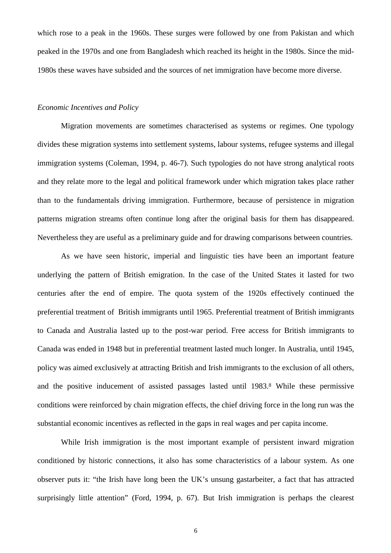which rose to a peak in the 1960s. These surges were followed by one from Pakistan and which peaked in the 1970s and one from Bangladesh which reached its height in the 1980s. Since the mid-1980s these waves have subsided and the sources of net immigration have become more diverse.

#### *Economic Incentives and Policy*

 Migration movements are sometimes characterised as systems or regimes. One typology divides these migration systems into settlement systems, labour systems, refugee systems and illegal immigration systems (Coleman, 1994, p. 46-7). Such typologies do not have strong analytical roots and they relate more to the legal and political framework under which migration takes place rather than to the fundamentals driving immigration. Furthermore, because of persistence in migration patterns migration streams often continue long after the original basis for them has disappeared. Nevertheless they are useful as a preliminary guide and for drawing comparisons between countries.

 As we have seen historic, imperial and linguistic ties have been an important feature underlying the pattern of British emigration. In the case of the United States it lasted for two centuries after the end of empire. The quota system of the 1920s effectively continued the preferential treatment of British immigrants until 1965. Preferential treatment of British immigrants to Canada and Australia lasted up to the post-war period. Free access for British immigrants to Canada was ended in 1948 but in preferential treatment lasted much longer. In Australia, until 1945, policy was aimed exclusively at attracting British and Irish immigrants to the exclusion of all others, and the positive inducement of assisted passages lasted until 1983.8 While these permissive conditions were reinforced by chain migration effects, the chief driving force in the long run was the substantial economic incentives as reflected in the gaps in real wages and per capita income.

 While Irish immigration is the most important example of persistent inward migration conditioned by historic connections, it also has some characteristics of a labour system. As one observer puts it: "the Irish have long been the UK's unsung gastarbeiter, a fact that has attracted surprisingly little attention" (Ford, 1994, p. 67). But Irish immigration is perhaps the clearest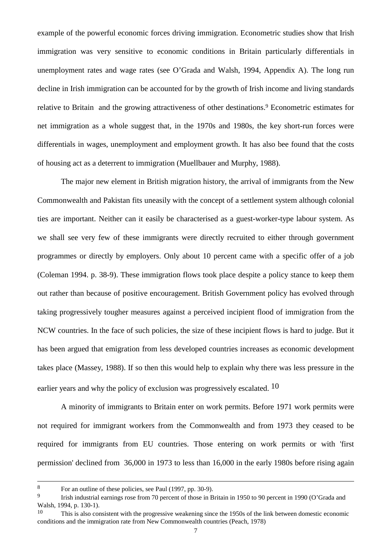example of the powerful economic forces driving immigration. Econometric studies show that Irish immigration was very sensitive to economic conditions in Britain particularly differentials in unemployment rates and wage rates (see O'Grada and Walsh, 1994, Appendix A). The long run decline in Irish immigration can be accounted for by the growth of Irish income and living standards relative to Britain and the growing attractiveness of other destinations.9 Econometric estimates for net immigration as a whole suggest that, in the 1970s and 1980s, the key short-run forces were differentials in wages, unemployment and employment growth. It has also bee found that the costs of housing act as a deterrent to immigration (Muellbauer and Murphy, 1988).

 The major new element in British migration history, the arrival of immigrants from the New Commonwealth and Pakistan fits uneasily with the concept of a settlement system although colonial ties are important. Neither can it easily be characterised as a guest-worker-type labour system. As we shall see very few of these immigrants were directly recruited to either through government programmes or directly by employers. Only about 10 percent came with a specific offer of a job (Coleman 1994. p. 38-9). These immigration flows took place despite a policy stance to keep them out rather than because of positive encouragement. British Government policy has evolved through taking progressively tougher measures against a perceived incipient flood of immigration from the NCW countries. In the face of such policies, the size of these incipient flows is hard to judge. But it has been argued that emigration from less developed countries increases as economic development takes place (Massey, 1988). If so then this would help to explain why there was less pressure in the earlier years and why the policy of exclusion was progressively escalated.  $10$ 

 A minority of immigrants to Britain enter on work permits. Before 1971 work permits were not required for immigrant workers from the Commonwealth and from 1973 they ceased to be required for immigrants from EU countries. Those entering on work permits or with 'first permission' declined from 36,000 in 1973 to less than 16,000 in the early 1980s before rising again

 <sup>8</sup> For an outline of these policies, see Paul (1997, pp. 30-9).

<sup>&</sup>lt;sup>9</sup> Irish industrial earnings rose from 70 percent of those in Britain in 1950 to 90 percent in 1990 (O'Grada and Walsh, 1994, p. 130-1).

<sup>10</sup> This is also consistent with the progressive weakening since the 1950s of the link between domestic economic conditions and the immigration rate from New Commonwealth countries (Peach, 1978)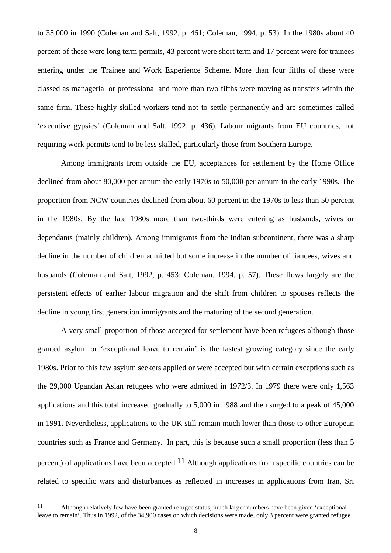to 35,000 in 1990 (Coleman and Salt, 1992, p. 461; Coleman, 1994, p. 53). In the 1980s about 40 percent of these were long term permits, 43 percent were short term and 17 percent were for trainees entering under the Trainee and Work Experience Scheme. More than four fifths of these were classed as managerial or professional and more than two fifths were moving as transfers within the same firm. These highly skilled workers tend not to settle permanently and are sometimes called 'executive gypsies' (Coleman and Salt, 1992, p. 436). Labour migrants from EU countries, not requiring work permits tend to be less skilled, particularly those from Southern Europe.

 Among immigrants from outside the EU, acceptances for settlement by the Home Office declined from about 80,000 per annum the early 1970s to 50,000 per annum in the early 1990s. The proportion from NCW countries declined from about 60 percent in the 1970s to less than 50 percent in the 1980s. By the late 1980s more than two-thirds were entering as husbands, wives or dependants (mainly children). Among immigrants from the Indian subcontinent, there was a sharp decline in the number of children admitted but some increase in the number of fiancees, wives and husbands (Coleman and Salt, 1992, p. 453; Coleman, 1994, p. 57). These flows largely are the persistent effects of earlier labour migration and the shift from children to spouses reflects the decline in young first generation immigrants and the maturing of the second generation.

 A very small proportion of those accepted for settlement have been refugees although those granted asylum or 'exceptional leave to remain' is the fastest growing category since the early 1980s. Prior to this few asylum seekers applied or were accepted but with certain exceptions such as the 29,000 Ugandan Asian refugees who were admitted in 1972/3. In 1979 there were only 1,563 applications and this total increased gradually to 5,000 in 1988 and then surged to a peak of 45,000 in 1991. Nevertheless, applications to the UK still remain much lower than those to other European countries such as France and Germany. In part, this is because such a small proportion (less than 5 percent) of applications have been accepted.11 Although applications from specific countries can be related to specific wars and disturbances as reflected in increases in applications from Iran, Sri

-

<sup>11</sup> Although relatively few have been granted refugee status, much larger numbers have been given 'exceptional leave to remain'. Thus in 1992, of the 34,900 cases on which decisions were made, only 3 percent were granted refugee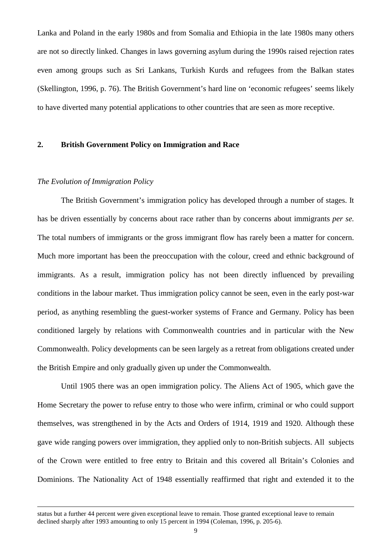Lanka and Poland in the early 1980s and from Somalia and Ethiopia in the late 1980s many others are not so directly linked. Changes in laws governing asylum during the 1990s raised rejection rates even among groups such as Sri Lankans, Turkish Kurds and refugees from the Balkan states (Skellington, 1996, p. 76). The British Government's hard line on 'economic refugees' seems likely to have diverted many potential applications to other countries that are seen as more receptive.

#### **2. British Government Policy on Immigration and Race**

#### *The Evolution of Immigration Policy*

 $\overline{a}$ 

 The British Government's immigration policy has developed through a number of stages. It has be driven essentially by concerns about race rather than by concerns about immigrants *per se.* The total numbers of immigrants or the gross immigrant flow has rarely been a matter for concern. Much more important has been the preoccupation with the colour, creed and ethnic background of immigrants. As a result, immigration policy has not been directly influenced by prevailing conditions in the labour market. Thus immigration policy cannot be seen, even in the early post-war period, as anything resembling the guest-worker systems of France and Germany. Policy has been conditioned largely by relations with Commonwealth countries and in particular with the New Commonwealth. Policy developments can be seen largely as a retreat from obligations created under the British Empire and only gradually given up under the Commonwealth.

 Until 1905 there was an open immigration policy. The Aliens Act of 1905, which gave the Home Secretary the power to refuse entry to those who were infirm, criminal or who could support themselves, was strengthened in by the Acts and Orders of 1914, 1919 and 1920. Although these gave wide ranging powers over immigration, they applied only to non-British subjects. All subjects of the Crown were entitled to free entry to Britain and this covered all Britain's Colonies and Dominions. The Nationality Act of 1948 essentially reaffirmed that right and extended it to the

status but a further 44 percent were given exceptional leave to remain. Those granted exceptional leave to remain declined sharply after 1993 amounting to only 15 percent in 1994 (Coleman, 1996, p. 205-6).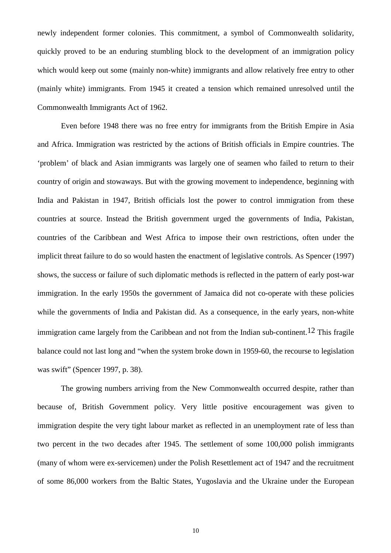newly independent former colonies. This commitment, a symbol of Commonwealth solidarity, quickly proved to be an enduring stumbling block to the development of an immigration policy which would keep out some (mainly non-white) immigrants and allow relatively free entry to other (mainly white) immigrants. From 1945 it created a tension which remained unresolved until the Commonwealth Immigrants Act of 1962.

 Even before 1948 there was no free entry for immigrants from the British Empire in Asia and Africa. Immigration was restricted by the actions of British officials in Empire countries. The 'problem' of black and Asian immigrants was largely one of seamen who failed to return to their country of origin and stowaways. But with the growing movement to independence, beginning with India and Pakistan in 1947, British officials lost the power to control immigration from these countries at source. Instead the British government urged the governments of India, Pakistan, countries of the Caribbean and West Africa to impose their own restrictions, often under the implicit threat failure to do so would hasten the enactment of legislative controls. As Spencer (1997) shows, the success or failure of such diplomatic methods is reflected in the pattern of early post-war immigration. In the early 1950s the government of Jamaica did not co-operate with these policies while the governments of India and Pakistan did. As a consequence, in the early years, non-white immigration came largely from the Caribbean and not from the Indian sub-continent.<sup>12</sup> This fragile balance could not last long and "when the system broke down in 1959-60, the recourse to legislation was swift" (Spencer 1997, p. 38).

 The growing numbers arriving from the New Commonwealth occurred despite, rather than because of, British Government policy. Very little positive encouragement was given to immigration despite the very tight labour market as reflected in an unemployment rate of less than two percent in the two decades after 1945. The settlement of some 100,000 polish immigrants (many of whom were ex-servicemen) under the Polish Resettlement act of 1947 and the recruitment of some 86,000 workers from the Baltic States, Yugoslavia and the Ukraine under the European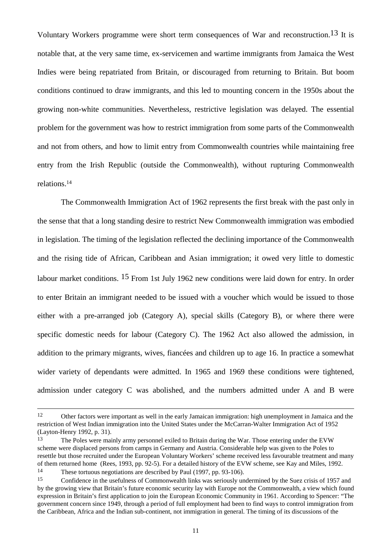Voluntary Workers programme were short term consequences of War and reconstruction.13 It is notable that, at the very same time, ex-servicemen and wartime immigrants from Jamaica the West Indies were being repatriated from Britain, or discouraged from returning to Britain. But boom conditions continued to draw immigrants, and this led to mounting concern in the 1950s about the growing non-white communities. Nevertheless, restrictive legislation was delayed. The essential problem for the government was how to restrict immigration from some parts of the Commonwealth and not from others, and how to limit entry from Commonwealth countries while maintaining free entry from the Irish Republic (outside the Commonwealth), without rupturing Commonwealth relations.14

 The Commonwealth Immigration Act of 1962 represents the first break with the past only in the sense that that a long standing desire to restrict New Commonwealth immigration was embodied in legislation. The timing of the legislation reflected the declining importance of the Commonwealth and the rising tide of African, Caribbean and Asian immigration; it owed very little to domestic labour market conditions. 15 From 1st July 1962 new conditions were laid down for entry. In order to enter Britain an immigrant needed to be issued with a voucher which would be issued to those either with a pre-arranged job (Category A), special skills (Category B), or where there were specific domestic needs for labour (Category C). The 1962 Act also allowed the admission, in addition to the primary migrants, wives, fiancées and children up to age 16. In practice a somewhat wider variety of dependants were admitted. In 1965 and 1969 these conditions were tightened, admission under category C was abolished, and the numbers admitted under A and B were

 <sup>12</sup> Other factors were important as well in the early Jamaican immigration: high unemployment in Jamaica and the restriction of West Indian immigration into the United States under the McCarran-Walter Immigration Act of 1952 (Layton-Henry 1992, p. 31).

<sup>13</sup> The Poles were mainly army personnel exiled to Britain during the War. Those entering under the EVW scheme were displaced persons from camps in Germany and Austria. Considerable help was given to the Poles to resettle but those recruited under the European Voluntary Workers' scheme received less favourable treatment and many of them returned home (Rees, 1993, pp. 92-5). For a detailed history of the EVW scheme, see Kay and Miles, 1992.<br>14 These tortuous negotiations are described by Paul (1997, pp. 93, 106)

<sup>14</sup> These tortuous negotiations are described by Paul (1997, pp. 93-106).<br>15 Confidence in the usefulness of Commonwealth links was seriously un

<sup>15</sup> Confidence in the usefulness of Commonwealth links was seriously undermined by the Suez crisis of 1957 and by the growing view that Britain's future economic security lay with Europe not the Commonwealth, a view which found expression in Britain's first application to join the European Economic Community in 1961. According to Spencer: "The government concern since 1949, through a period of full employment had been to find ways to control immigration from the Caribbean, Africa and the Indian sub-continent, not immigration in general. The timing of its discussions of the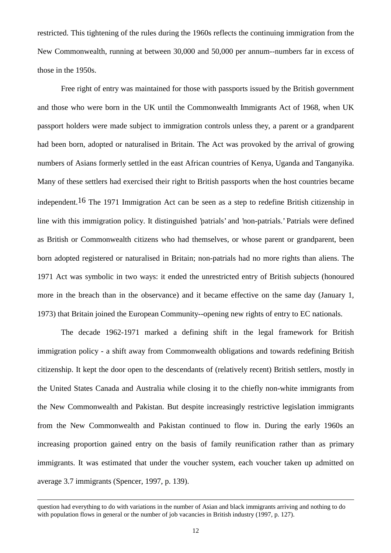restricted. This tightening of the rules during the 1960s reflects the continuing immigration from the New Commonwealth, running at between 30,000 and 50,000 per annum--numbers far in excess of those in the 1950s.

 Free right of entry was maintained for those with passports issued by the British government and those who were born in the UK until the Commonwealth Immigrants Act of 1968, when UK passport holders were made subject to immigration controls unless they, a parent or a grandparent had been born, adopted or naturalised in Britain. The Act was provoked by the arrival of growing numbers of Asians formerly settled in the east African countries of Kenya, Uganda and Tanganyika. Many of these settlers had exercised their right to British passports when the host countries became independent.<sup>16</sup> The 1971 Immigration Act can be seen as a step to redefine British citizenship in line with this immigration policy. It distinguished 'patrials' and 'non-patrials.' Patrials were defined as British or Commonwealth citizens who had themselves, or whose parent or grandparent, been born adopted registered or naturalised in Britain; non-patrials had no more rights than aliens. The 1971 Act was symbolic in two ways: it ended the unrestricted entry of British subjects (honoured more in the breach than in the observance) and it became effective on the same day (January 1, 1973) that Britain joined the European Community--opening new rights of entry to EC nationals.

 The decade 1962-1971 marked a defining shift in the legal framework for British immigration policy - a shift away from Commonwealth obligations and towards redefining British citizenship. It kept the door open to the descendants of (relatively recent) British settlers, mostly in the United States Canada and Australia while closing it to the chiefly non-white immigrants from the New Commonwealth and Pakistan. But despite increasingly restrictive legislation immigrants from the New Commonwealth and Pakistan continued to flow in. During the early 1960s an increasing proportion gained entry on the basis of family reunification rather than as primary immigrants. It was estimated that under the voucher system, each voucher taken up admitted on average 3.7 immigrants (Spencer, 1997, p. 139).

 $\overline{a}$ 

question had everything to do with variations in the number of Asian and black immigrants arriving and nothing to do with population flows in general or the number of job vacancies in British industry (1997, p. 127).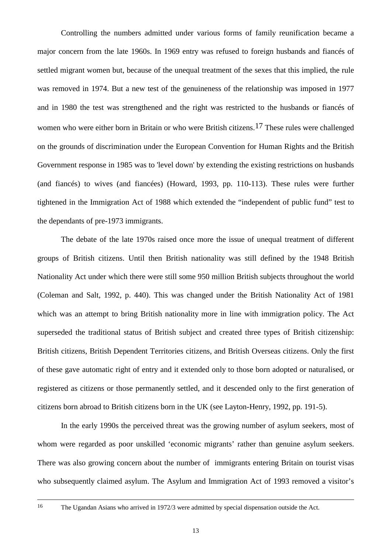Controlling the numbers admitted under various forms of family reunification became a major concern from the late 1960s. In 1969 entry was refused to foreign husbands and fiancés of settled migrant women but, because of the unequal treatment of the sexes that this implied, the rule was removed in 1974. But a new test of the genuineness of the relationship was imposed in 1977 and in 1980 the test was strengthened and the right was restricted to the husbands or fiancés of women who were either born in Britain or who were British citizens.17 These rules were challenged on the grounds of discrimination under the European Convention for Human Rights and the British Government response in 1985 was to 'level down' by extending the existing restrictions on husbands (and fiancés) to wives (and fiancées) (Howard, 1993, pp. 110-113). These rules were further tightened in the Immigration Act of 1988 which extended the "independent of public fund" test to the dependants of pre-1973 immigrants.

 The debate of the late 1970s raised once more the issue of unequal treatment of different groups of British citizens. Until then British nationality was still defined by the 1948 British Nationality Act under which there were still some 950 million British subjects throughout the world (Coleman and Salt, 1992, p. 440). This was changed under the British Nationality Act of 1981 which was an attempt to bring British nationality more in line with immigration policy. The Act superseded the traditional status of British subject and created three types of British citizenship: British citizens, British Dependent Territories citizens, and British Overseas citizens. Only the first of these gave automatic right of entry and it extended only to those born adopted or naturalised, or registered as citizens or those permanently settled, and it descended only to the first generation of citizens born abroad to British citizens born in the UK (see Layton-Henry, 1992, pp. 191-5).

 In the early 1990s the perceived threat was the growing number of asylum seekers, most of whom were regarded as poor unskilled 'economic migrants' rather than genuine asylum seekers. There was also growing concern about the number of immigrants entering Britain on tourist visas who subsequently claimed asylum. The Asylum and Immigration Act of 1993 removed a visitor's

 <sup>16</sup> The Ugandan Asians who arrived in 1972/3 were admitted by special dispensation outside the Act.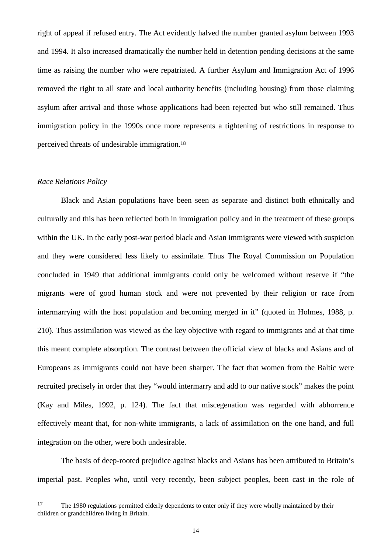right of appeal if refused entry. The Act evidently halved the number granted asylum between 1993 and 1994. It also increased dramatically the number held in detention pending decisions at the same time as raising the number who were repatriated. A further Asylum and Immigration Act of 1996 removed the right to all state and local authority benefits (including housing) from those claiming asylum after arrival and those whose applications had been rejected but who still remained. Thus immigration policy in the 1990s once more represents a tightening of restrictions in response to perceived threats of undesirable immigration.18

#### *Race Relations Policy*

 Black and Asian populations have been seen as separate and distinct both ethnically and culturally and this has been reflected both in immigration policy and in the treatment of these groups within the UK. In the early post-war period black and Asian immigrants were viewed with suspicion and they were considered less likely to assimilate. Thus The Royal Commission on Population concluded in 1949 that additional immigrants could only be welcomed without reserve if "the migrants were of good human stock and were not prevented by their religion or race from intermarrying with the host population and becoming merged in it" (quoted in Holmes, 1988, p. 210). Thus assimilation was viewed as the key objective with regard to immigrants and at that time this meant complete absorption. The contrast between the official view of blacks and Asians and of Europeans as immigrants could not have been sharper. The fact that women from the Baltic were recruited precisely in order that they "would intermarry and add to our native stock" makes the point (Kay and Miles, 1992, p. 124). The fact that miscegenation was regarded with abhorrence effectively meant that, for non-white immigrants, a lack of assimilation on the one hand, and full integration on the other, were both undesirable.

 The basis of deep-rooted prejudice against blacks and Asians has been attributed to Britain's imperial past. Peoples who, until very recently, been subject peoples, been cast in the role of

<sup>&</sup>lt;sup>17</sup> The 1980 regulations permitted elderly dependents to enter only if they were wholly maintained by their children or grandchildren living in Britain.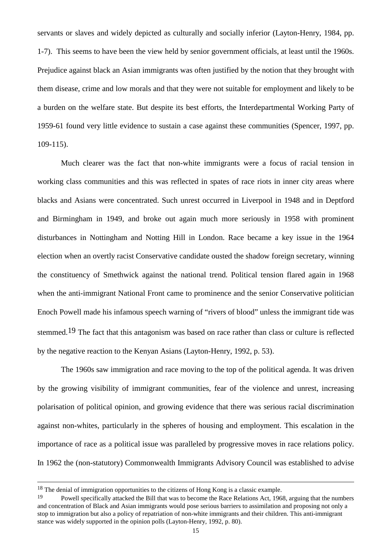servants or slaves and widely depicted as culturally and socially inferior (Layton-Henry, 1984, pp. 1-7). This seems to have been the view held by senior government officials, at least until the 1960s. Prejudice against black an Asian immigrants was often justified by the notion that they brought with them disease, crime and low morals and that they were not suitable for employment and likely to be a burden on the welfare state. But despite its best efforts, the Interdepartmental Working Party of 1959-61 found very little evidence to sustain a case against these communities (Spencer, 1997, pp. 109-115).

 Much clearer was the fact that non-white immigrants were a focus of racial tension in working class communities and this was reflected in spates of race riots in inner city areas where blacks and Asians were concentrated. Such unrest occurred in Liverpool in 1948 and in Deptford and Birmingham in 1949, and broke out again much more seriously in 1958 with prominent disturbances in Nottingham and Notting Hill in London. Race became a key issue in the 1964 election when an overtly racist Conservative candidate ousted the shadow foreign secretary, winning the constituency of Smethwick against the national trend. Political tension flared again in 1968 when the anti-immigrant National Front came to prominence and the senior Conservative politician Enoch Powell made his infamous speech warning of "rivers of blood" unless the immigrant tide was stemmed.<sup>19</sup> The fact that this antagonism was based on race rather than class or culture is reflected by the negative reaction to the Kenyan Asians (Layton-Henry, 1992, p. 53).

 The 1960s saw immigration and race moving to the top of the political agenda. It was driven by the growing visibility of immigrant communities, fear of the violence and unrest, increasing polarisation of political opinion, and growing evidence that there was serious racial discrimination against non-whites, particularly in the spheres of housing and employment. This escalation in the importance of race as a political issue was paralleled by progressive moves in race relations policy. In 1962 the (non-statutory) Commonwealth Immigrants Advisory Council was established to advise

<sup>&</sup>lt;sup>18</sup> The denial of immigration opportunities to the citizens of Hong Kong is a classic example.

<sup>&</sup>lt;sup>19</sup> Powell specifically attacked the Bill that was to become the Race Relations Act, 1968, arguing that the numbers and concentration of Black and Asian immigrants would pose serious barriers to assimilation and proposing not only a stop to immigration but also a policy of repatriation of non-white immigrants and their children. This anti-immigrant stance was widely supported in the opinion polls (Layton-Henry, 1992, p. 80).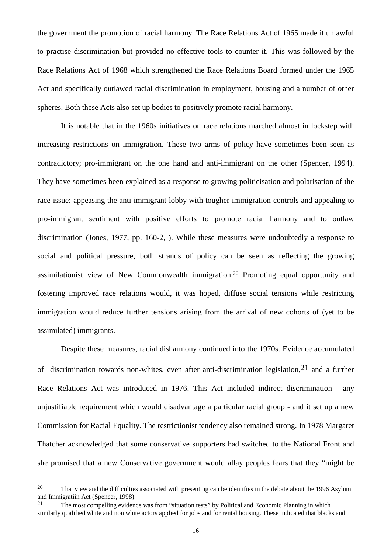the government the promotion of racial harmony. The Race Relations Act of 1965 made it unlawful to practise discrimination but provided no effective tools to counter it. This was followed by the Race Relations Act of 1968 which strengthened the Race Relations Board formed under the 1965 Act and specifically outlawed racial discrimination in employment, housing and a number of other spheres. Both these Acts also set up bodies to positively promote racial harmony.

 It is notable that in the 1960s initiatives on race relations marched almost in lockstep with increasing restrictions on immigration. These two arms of policy have sometimes been seen as contradictory; pro-immigrant on the one hand and anti-immigrant on the other (Spencer, 1994). They have sometimes been explained as a response to growing politicisation and polarisation of the race issue: appeasing the anti immigrant lobby with tougher immigration controls and appealing to pro-immigrant sentiment with positive efforts to promote racial harmony and to outlaw discrimination (Jones, 1977, pp. 160-2, ). While these measures were undoubtedly a response to social and political pressure, both strands of policy can be seen as reflecting the growing assimilationist view of New Commonwealth immigration.20 Promoting equal opportunity and fostering improved race relations would, it was hoped, diffuse social tensions while restricting immigration would reduce further tensions arising from the arrival of new cohorts of (yet to be assimilated) immigrants.

 Despite these measures, racial disharmony continued into the 1970s. Evidence accumulated of discrimination towards non-whites, even after anti-discrimination legislation,  $21$  and a further Race Relations Act was introduced in 1976. This Act included indirect discrimination - any unjustifiable requirement which would disadvantage a particular racial group - and it set up a new Commission for Racial Equality. The restrictionist tendency also remained strong. In 1978 Margaret Thatcher acknowledged that some conservative supporters had switched to the National Front and she promised that a new Conservative government would allay peoples fears that they "might be

 $\overline{a}$ 

<sup>&</sup>lt;sup>20</sup> That view and the difficulties associated with presenting can be identifies in the debate about the 1996 Asylum and Immigratiin Act (Spencer, 1998).

<sup>21</sup> The most compelling evidence was from "situation tests" by Political and Economic Planning in which similarly qualified white and non white actors applied for jobs and for rental housing. These indicated that blacks and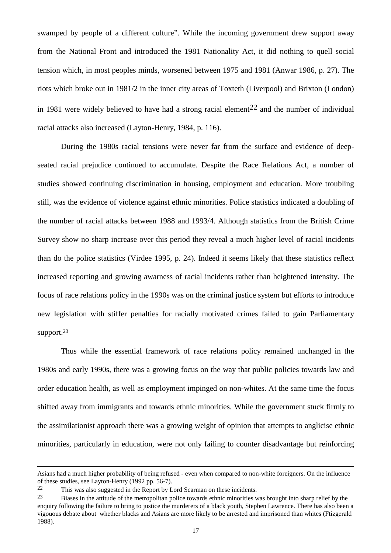swamped by people of a different culture". While the incoming government drew support away from the National Front and introduced the 1981 Nationality Act, it did nothing to quell social tension which, in most peoples minds, worsened between 1975 and 1981 (Anwar 1986, p. 27). The riots which broke out in 1981/2 in the inner city areas of Toxteth (Liverpool) and Brixton (London) in 1981 were widely believed to have had a strong racial element  $22$  and the number of individual racial attacks also increased (Layton-Henry, 1984, p. 116).

 During the 1980s racial tensions were never far from the surface and evidence of deepseated racial prejudice continued to accumulate. Despite the Race Relations Act, a number of studies showed continuing discrimination in housing, employment and education. More troubling still, was the evidence of violence against ethnic minorities. Police statistics indicated a doubling of the number of racial attacks between 1988 and 1993/4. Although statistics from the British Crime Survey show no sharp increase over this period they reveal a much higher level of racial incidents than do the police statistics (Virdee 1995, p. 24). Indeed it seems likely that these statistics reflect increased reporting and growing awarness of racial incidents rather than heightened intensity. The focus of race relations policy in the 1990s was on the criminal justice system but efforts to introduce new legislation with stiffer penalties for racially motivated crimes failed to gain Parliamentary support.23

 Thus while the essential framework of race relations policy remained unchanged in the 1980s and early 1990s, there was a growing focus on the way that public policies towards law and order education health, as well as employment impinged on non-whites. At the same time the focus shifted away from immigrants and towards ethnic minorities. While the government stuck firmly to the assimilationist approach there was a growing weight of opinion that attempts to anglicise ethnic minorities, particularly in education, were not only failing to counter disadvantage but reinforcing

 $\overline{a}$ 

Asians had a much higher probability of being refused - even when compared to non-white foreigners. On the influence of these studies, see Layton-Henry (1992 pp. 56-7).

<sup>22</sup> This was also suggested in the Report by Lord Scarman on these incidents.

<sup>&</sup>lt;sup>23</sup> Biases in the attitude of the metropolitan police towards ethnic minorities was brought into sharp relief by the enquiry following the failure to bring to justice the murderers of a black youth, Stephen Lawrence. There has also been a vigouous debate about whether blacks and Asians are more likely to be arrested and imprisoned than whites (Ftizgerald 1988).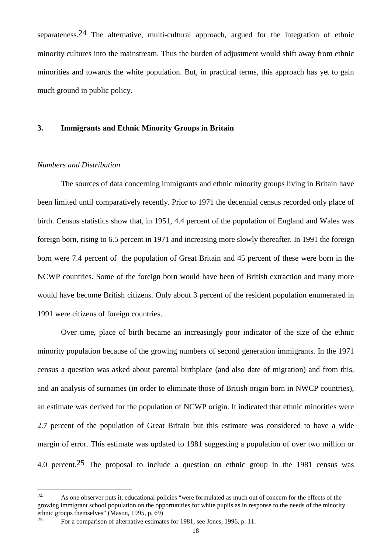separateness.<sup>24</sup> The alternative, multi-cultural approach, argued for the integration of ethnic minority cultures into the mainstream. Thus the burden of adjustment would shift away from ethnic minorities and towards the white population. But, in practical terms, this approach has yet to gain much ground in public policy.

#### **3. Immigrants and Ethnic Minority Groups in Britain**

#### *Numbers and Distribution*

-

 The sources of data concerning immigrants and ethnic minority groups living in Britain have been limited until comparatively recently. Prior to 1971 the decennial census recorded only place of birth. Census statistics show that, in 1951, 4.4 percent of the population of England and Wales was foreign born, rising to 6.5 percent in 1971 and increasing more slowly thereafter. In 1991 the foreign born were 7.4 percent of the population of Great Britain and 45 percent of these were born in the NCWP countries. Some of the foreign born would have been of British extraction and many more would have become British citizens. Only about 3 percent of the resident population enumerated in 1991 were citizens of foreign countries.

 Over time, place of birth became an increasingly poor indicator of the size of the ethnic minority population because of the growing numbers of second generation immigrants. In the 1971 census a question was asked about parental birthplace (and also date of migration) and from this, and an analysis of surnames (in order to eliminate those of British origin born in NWCP countries), an estimate was derived for the population of NCWP origin. It indicated that ethnic minorities were 2.7 percent of the population of Great Britain but this estimate was considered to have a wide margin of error. This estimate was updated to 1981 suggesting a population of over two million or 4.0 percent.<sup>25</sup> The proposal to include a question on ethnic group in the 1981 census was

<sup>&</sup>lt;sup>24</sup> As one observer puts it, educational policies "were formulated as much out of concern for the effects of the growing immigrant school population on the opportunities for white pupils as in response to the needs of the minority ethnic groups themselves" (Mason, 1995, p. 69)

<sup>25</sup> For a comparison of alternative estimates for 1981, see Jones, 1996, p. 11.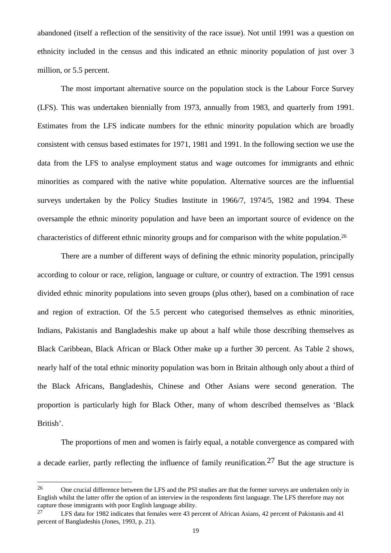abandoned (itself a reflection of the sensitivity of the race issue). Not until 1991 was a question on ethnicity included in the census and this indicated an ethnic minority population of just over 3 million, or 5.5 percent.

 The most important alternative source on the population stock is the Labour Force Survey (LFS). This was undertaken biennially from 1973, annually from 1983, and quarterly from 1991. Estimates from the LFS indicate numbers for the ethnic minority population which are broadly consistent with census based estimates for 1971, 1981 and 1991. In the following section we use the data from the LFS to analyse employment status and wage outcomes for immigrants and ethnic minorities as compared with the native white population. Alternative sources are the influential surveys undertaken by the Policy Studies Institute in 1966/7, 1974/5, 1982 and 1994. These oversample the ethnic minority population and have been an important source of evidence on the characteristics of different ethnic minority groups and for comparison with the white population.26

 There are a number of different ways of defining the ethnic minority population, principally according to colour or race, religion, language or culture, or country of extraction. The 1991 census divided ethnic minority populations into seven groups (plus other), based on a combination of race and region of extraction. Of the 5.5 percent who categorised themselves as ethnic minorities, Indians, Pakistanis and Bangladeshis make up about a half while those describing themselves as Black Caribbean, Black African or Black Other make up a further 30 percent. As Table 2 shows, nearly half of the total ethnic minority population was born in Britain although only about a third of the Black Africans, Bangladeshis, Chinese and Other Asians were second generation. The proportion is particularly high for Black Other, many of whom described themselves as 'Black British'.

 The proportions of men and women is fairly equal, a notable convergence as compared with a decade earlier, partly reflecting the influence of family reunification.27 But the age structure is

-

<sup>&</sup>lt;sup>26</sup> One crucial difference between the LFS and the PSI studies are that the former surveys are undertaken only in English whilst the latter offer the option of an interview in the respondents first language. The LFS therefore may not capture those immigrants with poor English language ability.

<sup>27</sup> LFS data for 1982 indicates that females were 43 percent of African Asians, 42 percent of Pakistanis and 41 percent of Bangladeshis (Jones, 1993, p. 21).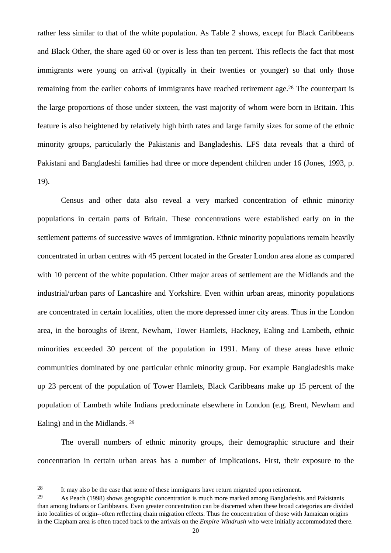rather less similar to that of the white population. As Table 2 shows, except for Black Caribbeans and Black Other, the share aged 60 or over is less than ten percent. This reflects the fact that most immigrants were young on arrival (typically in their twenties or younger) so that only those remaining from the earlier cohorts of immigrants have reached retirement age.28 The counterpart is the large proportions of those under sixteen, the vast majority of whom were born in Britain. This feature is also heightened by relatively high birth rates and large family sizes for some of the ethnic minority groups, particularly the Pakistanis and Bangladeshis. LFS data reveals that a third of Pakistani and Bangladeshi families had three or more dependent children under 16 (Jones, 1993, p. 19).

 Census and other data also reveal a very marked concentration of ethnic minority populations in certain parts of Britain. These concentrations were established early on in the settlement patterns of successive waves of immigration. Ethnic minority populations remain heavily concentrated in urban centres with 45 percent located in the Greater London area alone as compared with 10 percent of the white population. Other major areas of settlement are the Midlands and the industrial/urban parts of Lancashire and Yorkshire. Even within urban areas, minority populations are concentrated in certain localities, often the more depressed inner city areas. Thus in the London area, in the boroughs of Brent, Newham, Tower Hamlets, Hackney, Ealing and Lambeth, ethnic minorities exceeded 30 percent of the population in 1991. Many of these areas have ethnic communities dominated by one particular ethnic minority group. For example Bangladeshis make up 23 percent of the population of Tower Hamlets, Black Caribbeans make up 15 percent of the population of Lambeth while Indians predominate elsewhere in London (e.g. Brent, Newham and Ealing) and in the Midlands. 29

 The overall numbers of ethnic minority groups, their demographic structure and their concentration in certain urban areas has a number of implications. First, their exposure to the

-

<sup>&</sup>lt;sup>28</sup> It may also be the case that some of these immigrants have return migrated upon retirement.

<sup>29</sup> As Peach (1998) shows geographic concentration is much more marked among Bangladeshis and Pakistanis than among Indians or Caribbeans. Even greater concentration can be discerned when these broad categories are divided into localities of origin--often reflecting chain migration effects. Thus the concentration of those with Jamaican origins in the Clapham area is often traced back to the arrivals on the *Empire Windrush* who were initially accommodated there.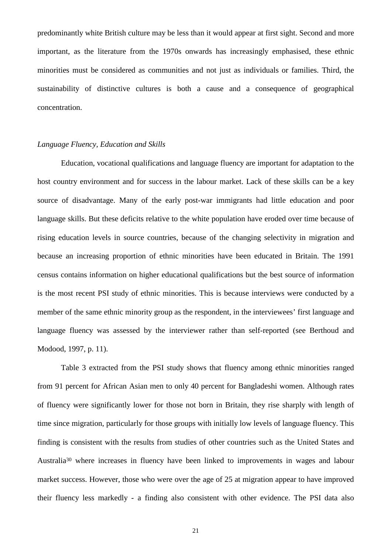predominantly white British culture may be less than it would appear at first sight. Second and more important, as the literature from the 1970s onwards has increasingly emphasised, these ethnic minorities must be considered as communities and not just as individuals or families. Third, the sustainability of distinctive cultures is both a cause and a consequence of geographical concentration.

#### *Language Fluency, Education and Skills*

 Education, vocational qualifications and language fluency are important for adaptation to the host country environment and for success in the labour market. Lack of these skills can be a key source of disadvantage. Many of the early post-war immigrants had little education and poor language skills. But these deficits relative to the white population have eroded over time because of rising education levels in source countries, because of the changing selectivity in migration and because an increasing proportion of ethnic minorities have been educated in Britain. The 1991 census contains information on higher educational qualifications but the best source of information is the most recent PSI study of ethnic minorities. This is because interviews were conducted by a member of the same ethnic minority group as the respondent, in the interviewees' first language and language fluency was assessed by the interviewer rather than self-reported (see Berthoud and Modood, 1997, p. 11).

 Table 3 extracted from the PSI study shows that fluency among ethnic minorities ranged from 91 percent for African Asian men to only 40 percent for Bangladeshi women. Although rates of fluency were significantly lower for those not born in Britain, they rise sharply with length of time since migration, particularly for those groups with initially low levels of language fluency. This finding is consistent with the results from studies of other countries such as the United States and Australia30 where increases in fluency have been linked to improvements in wages and labour market success. However, those who were over the age of 25 at migration appear to have improved their fluency less markedly - a finding also consistent with other evidence. The PSI data also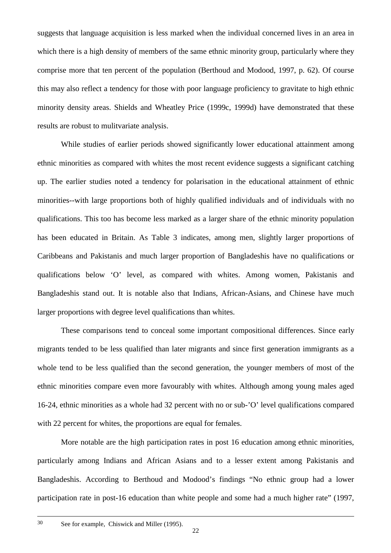suggests that language acquisition is less marked when the individual concerned lives in an area in which there is a high density of members of the same ethnic minority group, particularly where they comprise more that ten percent of the population (Berthoud and Modood, 1997, p. 62). Of course this may also reflect a tendency for those with poor language proficiency to gravitate to high ethnic minority density areas. Shields and Wheatley Price (1999c, 1999d) have demonstrated that these results are robust to mulitvariate analysis.

 While studies of earlier periods showed significantly lower educational attainment among ethnic minorities as compared with whites the most recent evidence suggests a significant catching up. The earlier studies noted a tendency for polarisation in the educational attainment of ethnic minorities--with large proportions both of highly qualified individuals and of individuals with no qualifications. This too has become less marked as a larger share of the ethnic minority population has been educated in Britain. As Table 3 indicates, among men, slightly larger proportions of Caribbeans and Pakistanis and much larger proportion of Bangladeshis have no qualifications or qualifications below 'O' level, as compared with whites. Among women, Pakistanis and Bangladeshis stand out. It is notable also that Indians, African-Asians, and Chinese have much larger proportions with degree level qualifications than whites.

 These comparisons tend to conceal some important compositional differences. Since early migrants tended to be less qualified than later migrants and since first generation immigrants as a whole tend to be less qualified than the second generation, the younger members of most of the ethnic minorities compare even more favourably with whites. Although among young males aged 16-24, ethnic minorities as a whole had 32 percent with no or sub-'O' level qualifications compared with 22 percent for whites, the proportions are equal for females.

 More notable are the high participation rates in post 16 education among ethnic minorities, particularly among Indians and African Asians and to a lesser extent among Pakistanis and Bangladeshis. According to Berthoud and Modood's findings "No ethnic group had a lower participation rate in post-16 education than white people and some had a much higher rate" (1997,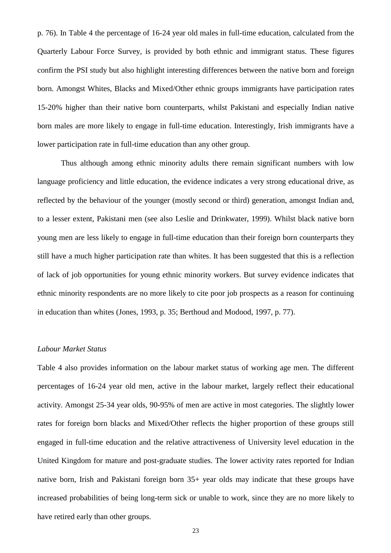p. 76). In Table 4 the percentage of 16-24 year old males in full-time education, calculated from the Quarterly Labour Force Survey, is provided by both ethnic and immigrant status. These figures confirm the PSI study but also highlight interesting differences between the native born and foreign born. Amongst Whites, Blacks and Mixed/Other ethnic groups immigrants have participation rates 15-20% higher than their native born counterparts, whilst Pakistani and especially Indian native born males are more likely to engage in full-time education. Interestingly, Irish immigrants have a lower participation rate in full-time education than any other group.

 Thus although among ethnic minority adults there remain significant numbers with low language proficiency and little education, the evidence indicates a very strong educational drive, as reflected by the behaviour of the younger (mostly second or third) generation, amongst Indian and, to a lesser extent, Pakistani men (see also Leslie and Drinkwater, 1999). Whilst black native born young men are less likely to engage in full-time education than their foreign born counterparts they still have a much higher participation rate than whites. It has been suggested that this is a reflection of lack of job opportunities for young ethnic minority workers. But survey evidence indicates that ethnic minority respondents are no more likely to cite poor job prospects as a reason for continuing in education than whites (Jones, 1993, p. 35; Berthoud and Modood, 1997, p. 77).

#### *Labour Market Status*

Table 4 also provides information on the labour market status of working age men. The different percentages of 16-24 year old men, active in the labour market, largely reflect their educational activity. Amongst 25-34 year olds, 90-95% of men are active in most categories. The slightly lower rates for foreign born blacks and Mixed/Other reflects the higher proportion of these groups still engaged in full-time education and the relative attractiveness of University level education in the United Kingdom for mature and post-graduate studies. The lower activity rates reported for Indian native born, Irish and Pakistani foreign born 35+ year olds may indicate that these groups have increased probabilities of being long-term sick or unable to work, since they are no more likely to have retired early than other groups.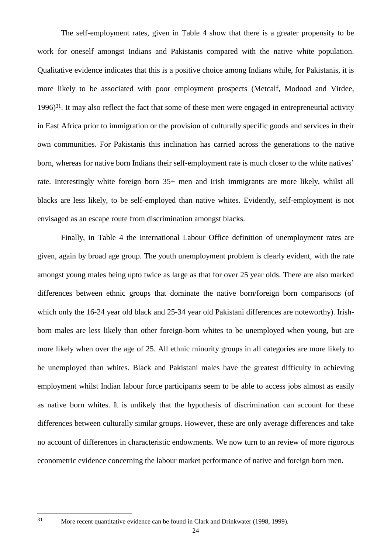The self-employment rates, given in Table 4 show that there is a greater propensity to be work for oneself amongst Indians and Pakistanis compared with the native white population. Qualitative evidence indicates that this is a positive choice among Indians while, for Pakistanis, it is more likely to be associated with poor employment prospects (Metcalf, Modood and Virdee, 1996)31. It may also reflect the fact that some of these men were engaged in entrepreneurial activity in East Africa prior to immigration or the provision of culturally specific goods and services in their own communities. For Pakistanis this inclination has carried across the generations to the native born, whereas for native born Indians their self-employment rate is much closer to the white natives' rate. Interestingly white foreign born 35+ men and Irish immigrants are more likely, whilst all blacks are less likely, to be self-employed than native whites. Evidently, self-employment is not envisaged as an escape route from discrimination amongst blacks.

 Finally, in Table 4 the International Labour Office definition of unemployment rates are given, again by broad age group. The youth unemployment problem is clearly evident, with the rate amongst young males being upto twice as large as that for over 25 year olds. There are also marked differences between ethnic groups that dominate the native born/foreign born comparisons (of which only the 16-24 year old black and 25-34 year old Pakistani differences are noteworthy). Irishborn males are less likely than other foreign-born whites to be unemployed when young, but are more likely when over the age of 25. All ethnic minority groups in all categories are more likely to be unemployed than whites. Black and Pakistani males have the greatest difficulty in achieving employment whilst Indian labour force participants seem to be able to access jobs almost as easily as native born whites. It is unlikely that the hypothesis of discrimination can account for these differences between culturally similar groups. However, these are only average differences and take no account of differences in characteristic endowments. We now turn to an review of more rigorous econometric evidence concerning the labour market performance of native and foreign born men.

 $\overline{a}$ 

<sup>31</sup> More recent quantitative evidence can be found in Clark and Drinkwater (1998, 1999).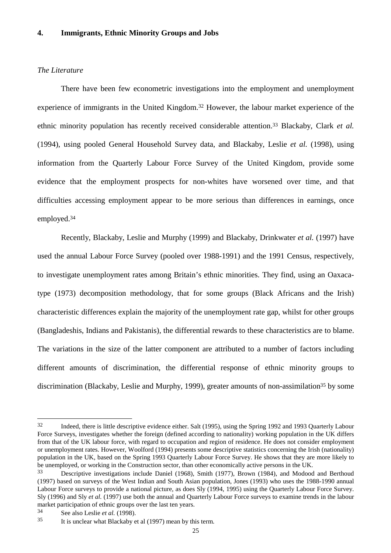#### *The Literature*

 There have been few econometric investigations into the employment and unemployment experience of immigrants in the United Kingdom.32 However, the labour market experience of the ethnic minority population has recently received considerable attention.33 Blackaby, Clark *et al.*  (1994), using pooled General Household Survey data, and Blackaby, Leslie *et al.* (1998), using information from the Quarterly Labour Force Survey of the United Kingdom, provide some evidence that the employment prospects for non-whites have worsened over time, and that difficulties accessing employment appear to be more serious than differences in earnings, once employed.34

 Recently, Blackaby, Leslie and Murphy (1999) and Blackaby, Drinkwater *et al.* (1997) have used the annual Labour Force Survey (pooled over 1988-1991) and the 1991 Census, respectively, to investigate unemployment rates among Britain's ethnic minorities. They find, using an Oaxacatype (1973) decomposition methodology, that for some groups (Black Africans and the Irish) characteristic differences explain the majority of the unemployment rate gap, whilst for other groups (Bangladeshis, Indians and Pakistanis), the differential rewards to these characteristics are to blame. The variations in the size of the latter component are attributed to a number of factors including different amounts of discrimination, the differential response of ethnic minority groups to discrimination (Blackaby, Leslie and Murphy, 1999), greater amounts of non-assimilation<sup>35</sup> by some

 $\overline{a}$ 

<sup>&</sup>lt;sup>32</sup> Indeed, there is little descriptive evidence either. Salt (1995), using the Spring 1992 and 1993 Quarterly Labour Force Surveys, investigates whether the foreign (defined according to nationality) working population in the UK differs from that of the UK labour force, with regard to occupation and region of residence. He does not consider employment or unemployment rates. However, Woolford (1994) presents some descriptive statistics concerning the Irish (nationality) population in the UK, based on the Spring 1993 Quarterly Labour Force Survey. He shows that they are more likely to be unemployed, or working in the Construction sector, than other economically active persons in the UK.

<sup>33</sup> Descriptive investigations include Daniel (1968), Smith (1977), Brown (1984), and Modood and Berthoud (1997) based on surveys of the West Indian and South Asian population, Jones (1993) who uses the 1988-1990 annual Labour Force surveys to provide a national picture, as does Sly (1994, 1995) using the Quarterly Labour Force Survey. Sly (1996) and Sly *et al.* (1997) use both the annual and Quarterly Labour Force surveys to examine trends in the labour market participation of ethnic groups over the last ten years.

<sup>34</sup> See also Leslie *et al.* (1998).

<sup>35</sup> It is unclear what Blackaby et al (1997) mean by this term.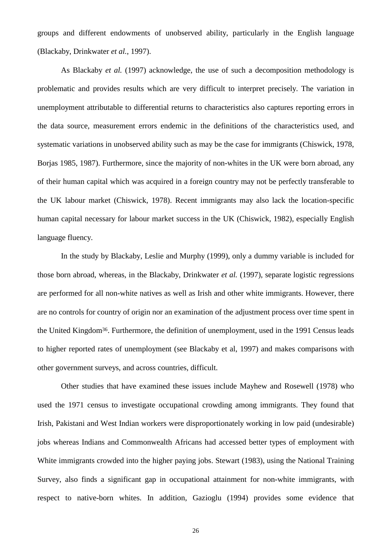groups and different endowments of unobserved ability, particularly in the English language (Blackaby, Drinkwater *et al.*, 1997).

 As Blackaby *et al.* (1997) acknowledge, the use of such a decomposition methodology is problematic and provides results which are very difficult to interpret precisely. The variation in unemployment attributable to differential returns to characteristics also captures reporting errors in the data source, measurement errors endemic in the definitions of the characteristics used, and systematic variations in unobserved ability such as may be the case for immigrants (Chiswick, 1978, Borjas 1985, 1987). Furthermore, since the majority of non-whites in the UK were born abroad, any of their human capital which was acquired in a foreign country may not be perfectly transferable to the UK labour market (Chiswick, 1978). Recent immigrants may also lack the location-specific human capital necessary for labour market success in the UK (Chiswick, 1982), especially English language fluency.

 In the study by Blackaby, Leslie and Murphy (1999), only a dummy variable is included for those born abroad, whereas, in the Blackaby, Drinkwater *et al.* (1997), separate logistic regressions are performed for all non-white natives as well as Irish and other white immigrants. However, there are no controls for country of origin nor an examination of the adjustment process over time spent in the United Kingdom36. Furthermore, the definition of unemployment, used in the 1991 Census leads to higher reported rates of unemployment (see Blackaby et al, 1997) and makes comparisons with other government surveys, and across countries, difficult.

 Other studies that have examined these issues include Mayhew and Rosewell (1978) who used the 1971 census to investigate occupational crowding among immigrants. They found that Irish, Pakistani and West Indian workers were disproportionately working in low paid (undesirable) jobs whereas Indians and Commonwealth Africans had accessed better types of employment with White immigrants crowded into the higher paying jobs. Stewart (1983), using the National Training Survey, also finds a significant gap in occupational attainment for non-white immigrants, with respect to native-born whites. In addition, Gazioglu (1994) provides some evidence that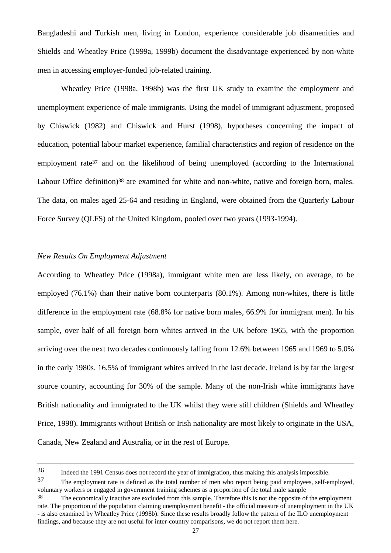Bangladeshi and Turkish men, living in London, experience considerable job disamenities and Shields and Wheatley Price (1999a, 1999b) document the disadvantage experienced by non-white men in accessing employer-funded job-related training.

 Wheatley Price (1998a, 1998b) was the first UK study to examine the employment and unemployment experience of male immigrants. Using the model of immigrant adjustment, proposed by Chiswick (1982) and Chiswick and Hurst (1998), hypotheses concerning the impact of education, potential labour market experience, familial characteristics and region of residence on the employment rate<sup>37</sup> and on the likelihood of being unemployed (according to the International Labour Office definition)<sup>38</sup> are examined for white and non-white, native and foreign born, males. The data, on males aged 25-64 and residing in England, were obtained from the Quarterly Labour Force Survey (QLFS) of the United Kingdom, pooled over two years (1993-1994).

#### *New Results On Employment Adjustment*

 $\overline{a}$ 

According to Wheatley Price (1998a), immigrant white men are less likely, on average, to be employed (76.1%) than their native born counterparts (80.1%). Among non-whites, there is little difference in the employment rate (68.8% for native born males, 66.9% for immigrant men). In his sample, over half of all foreign born whites arrived in the UK before 1965, with the proportion arriving over the next two decades continuously falling from 12.6% between 1965 and 1969 to 5.0% in the early 1980s. 16.5% of immigrant whites arrived in the last decade. Ireland is by far the largest source country, accounting for 30% of the sample. Many of the non-Irish white immigrants have British nationality and immigrated to the UK whilst they were still children (Shields and Wheatley Price, 1998). Immigrants without British or Irish nationality are most likely to originate in the USA, Canada, New Zealand and Australia, or in the rest of Europe.

<sup>36</sup> Indeed the 1991 Census does not record the year of immigration, thus making this analysis impossible.

<sup>37</sup> The employment rate is defined as the total number of men who report being paid employees, self-employed, voluntary workers or engaged in government training schemes as a proportion of the total male sample

<sup>&</sup>lt;sup>38</sup> The economically inactive are excluded from this sample. Therefore this is not the opposite of the employment rate. The proportion of the population claiming unemployment benefit - the official measure of unemployment in the UK - is also examined by Wheatley Price (1998b). Since these results broadly follow the pattern of the ILO unemployment findings, and because they are not useful for inter-country comparisons, we do not report them here.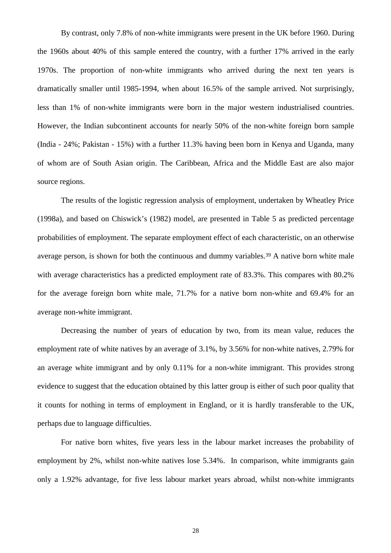By contrast, only 7.8% of non-white immigrants were present in the UK before 1960. During the 1960s about 40% of this sample entered the country, with a further 17% arrived in the early 1970s. The proportion of non-white immigrants who arrived during the next ten years is dramatically smaller until 1985-1994, when about 16.5% of the sample arrived. Not surprisingly, less than 1% of non-white immigrants were born in the major western industrialised countries. However, the Indian subcontinent accounts for nearly 50% of the non-white foreign born sample (India - 24%; Pakistan - 15%) with a further 11.3% having been born in Kenya and Uganda, many of whom are of South Asian origin. The Caribbean, Africa and the Middle East are also major source regions.

 The results of the logistic regression analysis of employment, undertaken by Wheatley Price (1998a), and based on Chiswick's (1982) model, are presented in Table 5 as predicted percentage probabilities of employment. The separate employment effect of each characteristic, on an otherwise average person, is shown for both the continuous and dummy variables.39 A native born white male with average characteristics has a predicted employment rate of 83.3%. This compares with 80.2% for the average foreign born white male, 71.7% for a native born non-white and 69.4% for an average non-white immigrant.

 Decreasing the number of years of education by two, from its mean value, reduces the employment rate of white natives by an average of 3.1%, by 3.56% for non-white natives, 2.79% for an average white immigrant and by only 0.11% for a non-white immigrant. This provides strong evidence to suggest that the education obtained by this latter group is either of such poor quality that it counts for nothing in terms of employment in England, or it is hardly transferable to the UK, perhaps due to language difficulties.

 For native born whites, five years less in the labour market increases the probability of employment by 2%, whilst non-white natives lose 5.34%. In comparison, white immigrants gain only a 1.92% advantage, for five less labour market years abroad, whilst non-white immigrants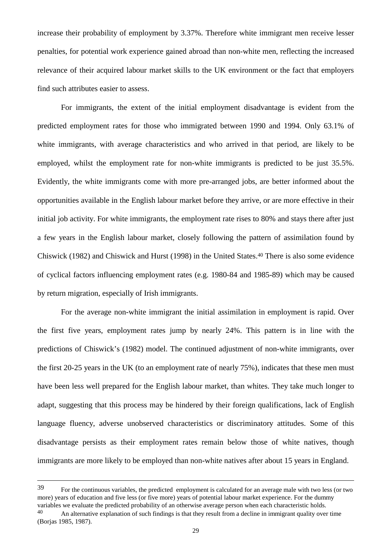increase their probability of employment by 3.37%. Therefore white immigrant men receive lesser penalties, for potential work experience gained abroad than non-white men, reflecting the increased relevance of their acquired labour market skills to the UK environment or the fact that employers find such attributes easier to assess.

 For immigrants, the extent of the initial employment disadvantage is evident from the predicted employment rates for those who immigrated between 1990 and 1994. Only 63.1% of white immigrants, with average characteristics and who arrived in that period, are likely to be employed, whilst the employment rate for non-white immigrants is predicted to be just 35.5%. Evidently, the white immigrants come with more pre-arranged jobs, are better informed about the opportunities available in the English labour market before they arrive, or are more effective in their initial job activity. For white immigrants, the employment rate rises to 80% and stays there after just a few years in the English labour market, closely following the pattern of assimilation found by Chiswick (1982) and Chiswick and Hurst (1998) in the United States.40 There is also some evidence of cyclical factors influencing employment rates (e.g. 1980-84 and 1985-89) which may be caused by return migration, especially of Irish immigrants.

 For the average non-white immigrant the initial assimilation in employment is rapid. Over the first five years, employment rates jump by nearly 24%. This pattern is in line with the predictions of Chiswick's (1982) model. The continued adjustment of non-white immigrants, over the first 20-25 years in the UK (to an employment rate of nearly 75%), indicates that these men must have been less well prepared for the English labour market, than whites. They take much longer to adapt, suggesting that this process may be hindered by their foreign qualifications, lack of English language fluency, adverse unobserved characteristics or discriminatory attitudes. Some of this disadvantage persists as their employment rates remain below those of white natives, though immigrants are more likely to be employed than non-white natives after about 15 years in England.

 $\overline{a}$ 

<sup>39</sup> For the continuous variables, the predicted employment is calculated for an average male with two less (or two more) years of education and five less (or five more) years of potential labour market experience. For the dummy variables we evaluate the predicted probability of an otherwise average person when each characteristic holds.

<sup>40</sup> An alternative explanation of such findings is that they result from a decline in immigrant quality over time (Borjas 1985, 1987).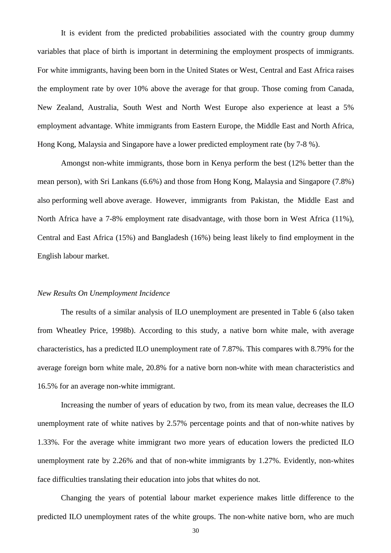It is evident from the predicted probabilities associated with the country group dummy variables that place of birth is important in determining the employment prospects of immigrants. For white immigrants, having been born in the United States or West, Central and East Africa raises the employment rate by over 10% above the average for that group. Those coming from Canada, New Zealand, Australia, South West and North West Europe also experience at least a 5% employment advantage. White immigrants from Eastern Europe, the Middle East and North Africa, Hong Kong, Malaysia and Singapore have a lower predicted employment rate (by 7-8 %).

 Amongst non-white immigrants, those born in Kenya perform the best (12% better than the mean person), with Sri Lankans (6.6%) and those from Hong Kong, Malaysia and Singapore (7.8%) also performing well above average. However, immigrants from Pakistan, the Middle East and North Africa have a 7-8% employment rate disadvantage, with those born in West Africa (11%), Central and East Africa (15%) and Bangladesh (16%) being least likely to find employment in the English labour market.

#### *New Results On Unemployment Incidence*

 The results of a similar analysis of ILO unemployment are presented in Table 6 (also taken from Wheatley Price, 1998b). According to this study, a native born white male, with average characteristics, has a predicted ILO unemployment rate of 7.87%. This compares with 8.79% for the average foreign born white male, 20.8% for a native born non-white with mean characteristics and 16.5% for an average non-white immigrant.

 Increasing the number of years of education by two, from its mean value, decreases the ILO unemployment rate of white natives by 2.57% percentage points and that of non-white natives by 1.33%. For the average white immigrant two more years of education lowers the predicted ILO unemployment rate by 2.26% and that of non-white immigrants by 1.27%. Evidently, non-whites face difficulties translating their education into jobs that whites do not.

 Changing the years of potential labour market experience makes little difference to the predicted ILO unemployment rates of the white groups. The non-white native born, who are much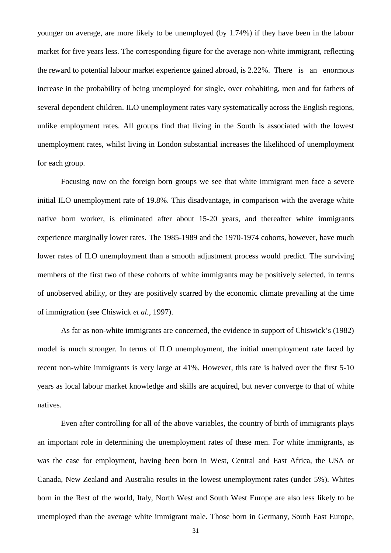younger on average, are more likely to be unemployed (by 1.74%) if they have been in the labour market for five years less. The corresponding figure for the average non-white immigrant, reflecting the reward to potential labour market experience gained abroad, is 2.22%. There is an enormous increase in the probability of being unemployed for single, over cohabiting, men and for fathers of several dependent children. ILO unemployment rates vary systematically across the English regions, unlike employment rates. All groups find that living in the South is associated with the lowest unemployment rates, whilst living in London substantial increases the likelihood of unemployment for each group.

 Focusing now on the foreign born groups we see that white immigrant men face a severe initial ILO unemployment rate of 19.8%. This disadvantage, in comparison with the average white native born worker, is eliminated after about 15-20 years, and thereafter white immigrants experience marginally lower rates. The 1985-1989 and the 1970-1974 cohorts, however, have much lower rates of ILO unemployment than a smooth adjustment process would predict. The surviving members of the first two of these cohorts of white immigrants may be positively selected, in terms of unobserved ability, or they are positively scarred by the economic climate prevailing at the time of immigration (see Chiswick *et al.*, 1997).

 As far as non-white immigrants are concerned, the evidence in support of Chiswick's (1982) model is much stronger. In terms of ILO unemployment, the initial unemployment rate faced by recent non-white immigrants is very large at 41%. However, this rate is halved over the first 5-10 years as local labour market knowledge and skills are acquired, but never converge to that of white natives.

 Even after controlling for all of the above variables, the country of birth of immigrants plays an important role in determining the unemployment rates of these men. For white immigrants, as was the case for employment, having been born in West, Central and East Africa, the USA or Canada, New Zealand and Australia results in the lowest unemployment rates (under 5%). Whites born in the Rest of the world, Italy, North West and South West Europe are also less likely to be unemployed than the average white immigrant male. Those born in Germany, South East Europe,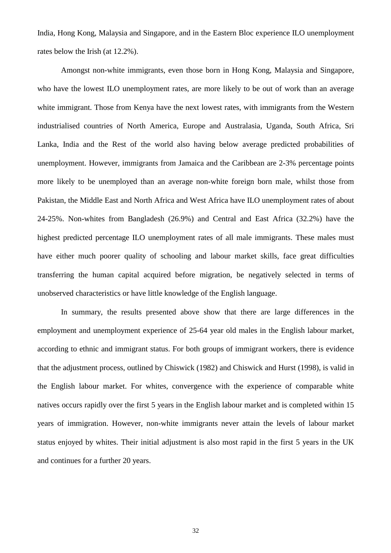India, Hong Kong, Malaysia and Singapore, and in the Eastern Bloc experience ILO unemployment rates below the Irish (at 12.2%).

 Amongst non-white immigrants, even those born in Hong Kong, Malaysia and Singapore, who have the lowest ILO unemployment rates, are more likely to be out of work than an average white immigrant. Those from Kenya have the next lowest rates, with immigrants from the Western industrialised countries of North America, Europe and Australasia, Uganda, South Africa, Sri Lanka, India and the Rest of the world also having below average predicted probabilities of unemployment. However, immigrants from Jamaica and the Caribbean are 2-3% percentage points more likely to be unemployed than an average non-white foreign born male, whilst those from Pakistan, the Middle East and North Africa and West Africa have ILO unemployment rates of about 24-25%. Non-whites from Bangladesh (26.9%) and Central and East Africa (32.2%) have the highest predicted percentage ILO unemployment rates of all male immigrants. These males must have either much poorer quality of schooling and labour market skills, face great difficulties transferring the human capital acquired before migration, be negatively selected in terms of unobserved characteristics or have little knowledge of the English language.

 In summary, the results presented above show that there are large differences in the employment and unemployment experience of 25-64 year old males in the English labour market, according to ethnic and immigrant status. For both groups of immigrant workers, there is evidence that the adjustment process, outlined by Chiswick (1982) and Chiswick and Hurst (1998), is valid in the English labour market. For whites, convergence with the experience of comparable white natives occurs rapidly over the first 5 years in the English labour market and is completed within 15 years of immigration. However, non-white immigrants never attain the levels of labour market status enjoyed by whites. Their initial adjustment is also most rapid in the first 5 years in the UK and continues for a further 20 years.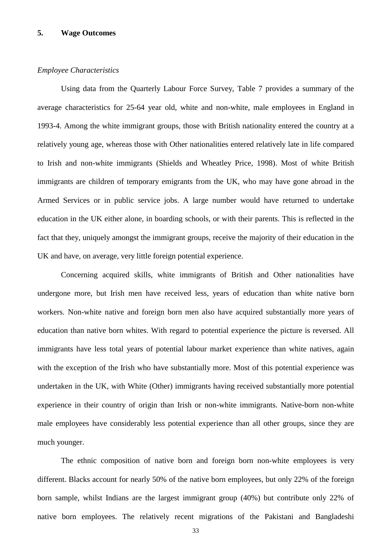#### **5. Wage Outcomes**

#### *Employee Characteristics*

 Using data from the Quarterly Labour Force Survey, Table 7 provides a summary of the average characteristics for 25-64 year old, white and non-white, male employees in England in 1993-4. Among the white immigrant groups, those with British nationality entered the country at a relatively young age, whereas those with Other nationalities entered relatively late in life compared to Irish and non-white immigrants (Shields and Wheatley Price, 1998). Most of white British immigrants are children of temporary emigrants from the UK, who may have gone abroad in the Armed Services or in public service jobs. A large number would have returned to undertake education in the UK either alone, in boarding schools, or with their parents. This is reflected in the fact that they, uniquely amongst the immigrant groups, receive the majority of their education in the UK and have, on average, very little foreign potential experience.

 Concerning acquired skills, white immigrants of British and Other nationalities have undergone more, but Irish men have received less, years of education than white native born workers. Non-white native and foreign born men also have acquired substantially more years of education than native born whites. With regard to potential experience the picture is reversed. All immigrants have less total years of potential labour market experience than white natives, again with the exception of the Irish who have substantially more. Most of this potential experience was undertaken in the UK, with White (Other) immigrants having received substantially more potential experience in their country of origin than Irish or non-white immigrants. Native-born non-white male employees have considerably less potential experience than all other groups, since they are much younger.

 The ethnic composition of native born and foreign born non-white employees is very different. Blacks account for nearly 50% of the native born employees, but only 22% of the foreign born sample, whilst Indians are the largest immigrant group (40%) but contribute only 22% of native born employees. The relatively recent migrations of the Pakistani and Bangladeshi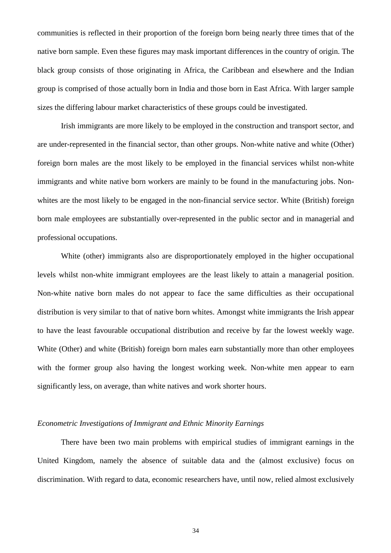communities is reflected in their proportion of the foreign born being nearly three times that of the native born sample. Even these figures may mask important differences in the country of origin. The black group consists of those originating in Africa, the Caribbean and elsewhere and the Indian group is comprised of those actually born in India and those born in East Africa. With larger sample sizes the differing labour market characteristics of these groups could be investigated.

 Irish immigrants are more likely to be employed in the construction and transport sector, and are under-represented in the financial sector, than other groups. Non-white native and white (Other) foreign born males are the most likely to be employed in the financial services whilst non-white immigrants and white native born workers are mainly to be found in the manufacturing jobs. Nonwhites are the most likely to be engaged in the non-financial service sector. White (British) foreign born male employees are substantially over-represented in the public sector and in managerial and professional occupations.

 White (other) immigrants also are disproportionately employed in the higher occupational levels whilst non-white immigrant employees are the least likely to attain a managerial position. Non-white native born males do not appear to face the same difficulties as their occupational distribution is very similar to that of native born whites. Amongst white immigrants the Irish appear to have the least favourable occupational distribution and receive by far the lowest weekly wage. White (Other) and white (British) foreign born males earn substantially more than other employees with the former group also having the longest working week. Non-white men appear to earn significantly less, on average, than white natives and work shorter hours.

#### *Econometric Investigations of Immigrant and Ethnic Minority Earnings*

 There have been two main problems with empirical studies of immigrant earnings in the United Kingdom, namely the absence of suitable data and the (almost exclusive) focus on discrimination. With regard to data, economic researchers have, until now, relied almost exclusively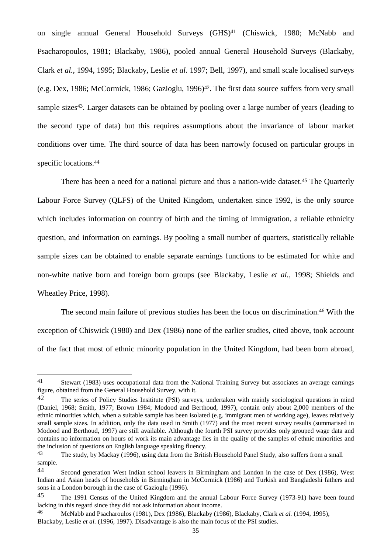on single annual General Household Surveys (GHS)<sup>41</sup> (Chiswick, 1980; McNabb and Psacharopoulos, 1981; Blackaby, 1986), pooled annual General Household Surveys (Blackaby, Clark *et al.*, 1994, 1995; Blackaby, Leslie *et al.* 1997; Bell, 1997), and small scale localised surveys (e.g. Dex, 1986; McCormick, 1986; Gazioglu, 1996)42. The first data source suffers from very small sample sizes<sup>43</sup>. Larger datasets can be obtained by pooling over a large number of years (leading to the second type of data) but this requires assumptions about the invariance of labour market conditions over time. The third source of data has been narrowly focused on particular groups in specific locations.<sup>44</sup>

There has been a need for a national picture and thus a nation-wide dataset.<sup>45</sup> The Quarterly Labour Force Survey (QLFS) of the United Kingdom, undertaken since 1992, is the only source which includes information on country of birth and the timing of immigration, a reliable ethnicity question, and information on earnings. By pooling a small number of quarters, statistically reliable sample sizes can be obtained to enable separate earnings functions to be estimated for white and non-white native born and foreign born groups (see Blackaby, Leslie *et al.*, 1998; Shields and Wheatley Price, 1998).

The second main failure of previous studies has been the focus on discrimination.<sup>46</sup> With the exception of Chiswick (1980) and Dex (1986) none of the earlier studies, cited above, took account of the fact that most of ethnic minority population in the United Kingdom, had been born abroad,

-

<sup>41</sup> Stewart (1983) uses occupational data from the National Training Survey but associates an average earnings figure, obtained from the General Household Survey, with it.

<sup>42</sup> The series of Policy Studies Insititute (PSI) surveys, undertaken with mainly sociological questions in mind (Daniel, 1968; Smith, 1977; Brown 1984; Modood and Berthoud, 1997), contain only about 2,000 members of the ethnic minorities which, when a suitable sample has been isolated (e.g. immigrant men of working age), leaves relatively small sample sizes. In addition, only the data used in Smith (1977) and the most recent survey results (summarised in Modood and Berthoud, 1997) are still available. Although the fourth PSI survey provides only grouped wage data and contains no information on hours of work its main advantage lies in the quality of the samples of ethnic minorities and the inclusion of questions on English language speaking fluency.

<sup>43</sup> The study, by Mackay (1996), using data from the British Household Panel Study, also suffers from a small sample.

<sup>44</sup> Second generation West Indian school leavers in Birmingham and London in the case of Dex (1986), West Indian and Asian heads of households in Birmingham in McCormick (1986) and Turkish and Bangladeshi fathers and sons in a London borough in the case of Gazioglu (1996).

<sup>45</sup> The 1991 Census of the United Kingdom and the annual Labour Force Survey (1973-91) have been found lacking in this regard since they did not ask information about income.

<sup>46</sup> McNabb and Psacharoulos (1981), Dex (1986), Blackaby (1986), Blackaby, Clark *et al.* (1994, 1995), Blackaby, Leslie *et al.* (1996, 1997). Disadvantage is also the main focus of the PSI studies.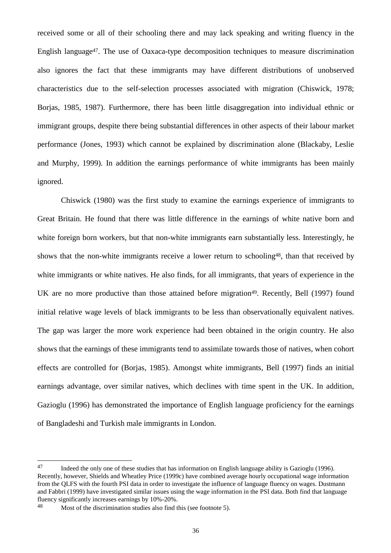received some or all of their schooling there and may lack speaking and writing fluency in the English language<sup>47</sup>. The use of Oaxaca-type decomposition techniques to measure discrimination also ignores the fact that these immigrants may have different distributions of unobserved characteristics due to the self-selection processes associated with migration (Chiswick, 1978; Borjas, 1985, 1987). Furthermore, there has been little disaggregation into individual ethnic or immigrant groups, despite there being substantial differences in other aspects of their labour market performance (Jones, 1993) which cannot be explained by discrimination alone (Blackaby, Leslie and Murphy, 1999). In addition the earnings performance of white immigrants has been mainly ignored.

 Chiswick (1980) was the first study to examine the earnings experience of immigrants to Great Britain. He found that there was little difference in the earnings of white native born and white foreign born workers, but that non-white immigrants earn substantially less. Interestingly, he shows that the non-white immigrants receive a lower return to schooling<sup>48</sup>, than that received by white immigrants or white natives. He also finds, for all immigrants, that years of experience in the UK are no more productive than those attained before migration<sup>49</sup>. Recently, Bell (1997) found initial relative wage levels of black immigrants to be less than observationally equivalent natives. The gap was larger the more work experience had been obtained in the origin country. He also shows that the earnings of these immigrants tend to assimilate towards those of natives, when cohort effects are controlled for (Borjas, 1985). Amongst white immigrants, Bell (1997) finds an initial earnings advantage, over similar natives, which declines with time spent in the UK. In addition, Gazioglu (1996) has demonstrated the importance of English language proficiency for the earnings of Bangladeshi and Turkish male immigrants in London.

-

<sup>47</sup> Indeed the only one of these studies that has information on English language ability is Gazioglu (1996). Recently, however, Shields and Wheatley Price (1999c) have combined average hourly occupational wage information from the QLFS with the fourth PSI data in order to investigate the influence of language fluency on wages. Dustmann and Fabbri (1999) have investigated similar issues using the wage information in the PSI data. Both find that language fluency significantly increases earnings by 10%-20%.

<sup>48</sup> Most of the discrimination studies also find this (see footnote 5).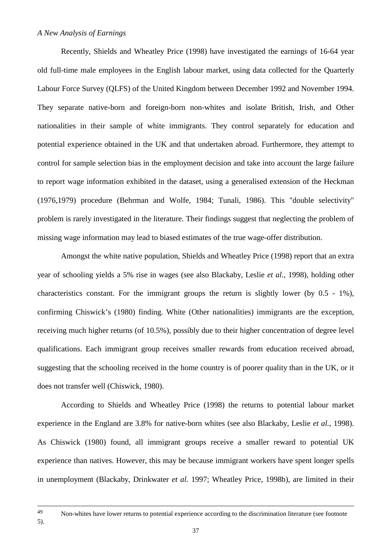#### *A New Analysis of Earnings*

 $\overline{a}$ 

 Recently, Shields and Wheatley Price (1998) have investigated the earnings of 16-64 year old full-time male employees in the English labour market, using data collected for the Quarterly Labour Force Survey (QLFS) of the United Kingdom between December 1992 and November 1994. They separate native-born and foreign-born non-whites and isolate British, Irish, and Other nationalities in their sample of white immigrants. They control separately for education and potential experience obtained in the UK and that undertaken abroad. Furthermore, they attempt to control for sample selection bias in the employment decision and take into account the large failure to report wage information exhibited in the dataset, using a generalised extension of the Heckman (1976,1979) procedure (Behrman and Wolfe, 1984; Tunali, 1986). This "double selectivity" problem is rarely investigated in the literature. Their findings suggest that neglecting the problem of missing wage information may lead to biased estimates of the true wage-offer distribution.

 Amongst the white native population, Shields and Wheatley Price (1998) report that an extra year of schooling yields a 5% rise in wages (see also Blackaby, Leslie *et al.*, 1998), holding other characteristics constant. For the immigrant groups the return is slightly lower (by 0.5 - 1%), confirming Chiswick's (1980) finding. White (Other nationalities) immigrants are the exception, receiving much higher returns (of 10.5%), possibly due to their higher concentration of degree level qualifications. Each immigrant group receives smaller rewards from education received abroad, suggesting that the schooling received in the home country is of poorer quality than in the UK, or it does not transfer well (Chiswick, 1980).

 According to Shields and Wheatley Price (1998) the returns to potential labour market experience in the England are 3.8% for native-born whites (see also Blackaby, Leslie *et al.*, 1998). As Chiswick (1980) found, all immigrant groups receive a smaller reward to potential UK experience than natives. However, this may be because immigrant workers have spent longer spells in unemployment (Blackaby, Drinkwater *et al.* 1997; Wheatley Price, 1998b), are limited in their

<sup>49</sup> Non-whites have lower returns to potential experience according to the discrimination literature (see footnote 5).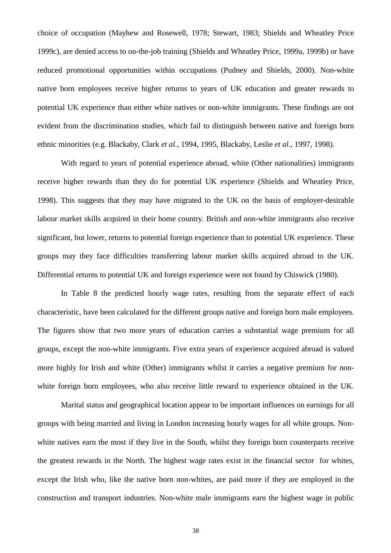choice of occupation (Mayhew and Rosewell, 1978; Stewart, 1983; Shields and Wheatley Price 1999c), are denied access to on-the-job training (Shields and Wheatley Price, 1999a, 1999b) or have reduced promotional opportunities within occupations (Pudney and Shields, 2000). Non-white native born employees receive higher returns to years of UK education and greater rewards to potential UK experience than either white natives or non-white immigrants. These findings are not evident from the discrimination studies, which fail to distinguish between native and foreign born ethnic minorities (e.g. Blackaby, Clark *et al.*, 1994, 1995, Blackaby, Leslie *et al.*, 1997, 1998).

 With regard to years of potential experience abroad, white (Other nationalities) immigrants receive higher rewards than they do for potential UK experience (Shields and Wheatley Price, 1998). This suggests that they may have migrated to the UK on the basis of employer-desirable labour market skills acquired in their home country. British and non-white immigrants also receive significant, but lower, returns to potential foreign experience than to potential UK experience. These groups may they face difficulties transferring labour market skills acquired abroad to the UK. Differential returns to potential UK and foreign experience were not found by Chiswick (1980).

 In Table 8 the predicted hourly wage rates, resulting from the separate effect of each characteristic, have been calculated for the different groups native and foreign born male employees. The figures show that two more years of education carries a substantial wage premium for all groups, except the non-white immigrants. Five extra years of experience acquired abroad is valued more highly for Irish and white (Other) immigrants whilst it carries a negative premium for nonwhite foreign born employees, who also receive little reward to experience obtained in the UK.

 Marital status and geographical location appear to be important influences on earnings for all groups with being married and living in London increasing hourly wages for all white groups. Nonwhite natives earn the most if they live in the South, whilst they foreign born counterparts receive the greatest rewards in the North. The highest wage rates exist in the financial sector for whites, except the Irish who, like the native born non-whites, are paid more if they are employed in the construction and transport industries. Non-white male immigrants earn the highest wage in public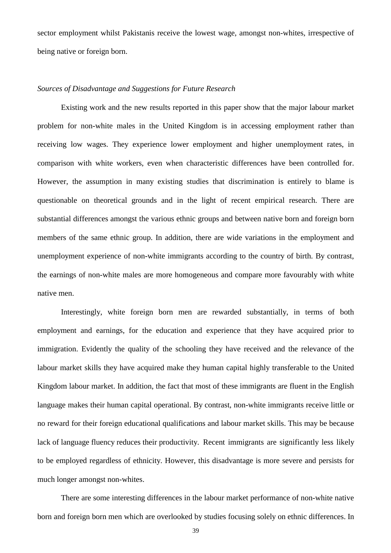sector employment whilst Pakistanis receive the lowest wage, amongst non-whites, irrespective of being native or foreign born.

#### *Sources of Disadvantage and Suggestions for Future Research*

 Existing work and the new results reported in this paper show that the major labour market problem for non-white males in the United Kingdom is in accessing employment rather than receiving low wages. They experience lower employment and higher unemployment rates, in comparison with white workers, even when characteristic differences have been controlled for. However, the assumption in many existing studies that discrimination is entirely to blame is questionable on theoretical grounds and in the light of recent empirical research. There are substantial differences amongst the various ethnic groups and between native born and foreign born members of the same ethnic group. In addition, there are wide variations in the employment and unemployment experience of non-white immigrants according to the country of birth. By contrast, the earnings of non-white males are more homogeneous and compare more favourably with white native men.

 Interestingly, white foreign born men are rewarded substantially, in terms of both employment and earnings, for the education and experience that they have acquired prior to immigration. Evidently the quality of the schooling they have received and the relevance of the labour market skills they have acquired make they human capital highly transferable to the United Kingdom labour market. In addition, the fact that most of these immigrants are fluent in the English language makes their human capital operational. By contrast, non-white immigrants receive little or no reward for their foreign educational qualifications and labour market skills. This may be because lack of language fluency reduces their productivity. Recent immigrants are significantly less likely to be employed regardless of ethnicity. However, this disadvantage is more severe and persists for much longer amongst non-whites.

 There are some interesting differences in the labour market performance of non-white native born and foreign born men which are overlooked by studies focusing solely on ethnic differences. In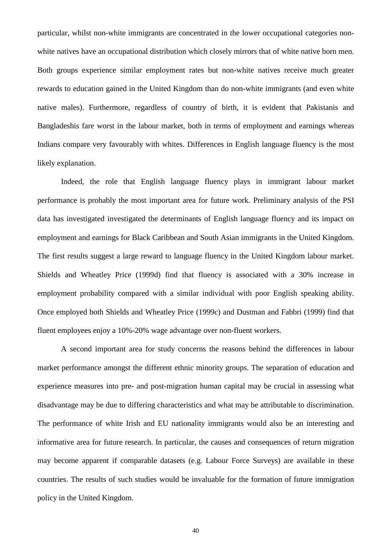particular, whilst non-white immigrants are concentrated in the lower occupational categories nonwhite natives have an occupational distribution which closely mirrors that of white native born men. Both groups experience similar employment rates but non-white natives receive much greater rewards to education gained in the United Kingdom than do non-white immigrants (and even white native males). Furthermore, regardless of country of birth, it is evident that Pakistanis and Bangladeshis fare worst in the labour market, both in terms of employment and earnings whereas Indians compare very favourably with whites. Differences in English language fluency is the most likely explanation.

 Indeed, the role that English language fluency plays in immigrant labour market performance is probably the most important area for future work. Preliminary analysis of the PSI data has investigated investigated the determinants of English language fluency and its impact on employment and earnings for Black Caribbean and South Asian immigrants in the United Kingdom. The first results suggest a large reward to language fluency in the United Kingdom labour market. Shields and Wheatley Price (1999d) find that fluency is associated with a 30% increase in employment probability compared with a similar individual with poor English speaking ability. Once employed both Shields and Wheatley Price (1999c) and Dustman and Fabbri (1999) find that fluent employees enjoy a 10%-20% wage advantage over non-fluent workers.

 A second important area for study concerns the reasons behind the differences in labour market performance amongst the different ethnic minority groups. The separation of education and experience measures into pre- and post-migration human capital may be crucial in assessing what disadvantage may be due to differing characteristics and what may be attributable to discrimination. The performance of white Irish and EU nationality immigrants would also be an interesting and informative area for future research. In particular, the causes and consequences of return migration may become apparent if comparable datasets (e.g. Labour Force Surveys) are available in these countries. The results of such studies would be invaluable for the formation of future immigration policy in the United Kingdom.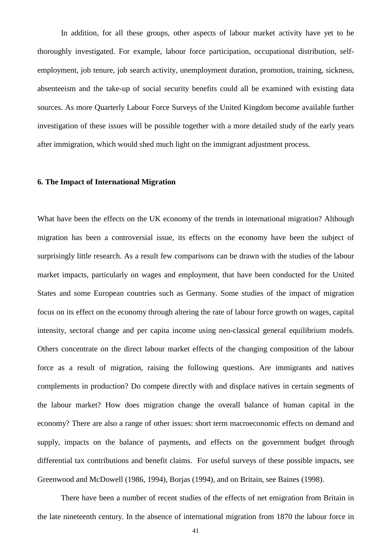In addition, for all these groups, other aspects of labour market activity have yet to be thoroughly investigated. For example, labour force participation, occupational distribution, selfemployment, job tenure, job search activity, unemployment duration, promotion, training, sickness, absenteeism and the take-up of social security benefits could all be examined with existing data sources. As more Quarterly Labour Force Surveys of the United Kingdom become available further investigation of these issues will be possible together with a more detailed study of the early years after immigration, which would shed much light on the immigrant adjustment process.

#### **6. The Impact of International Migration**

What have been the effects on the UK economy of the trends in international migration? Although migration has been a controversial issue, its effects on the economy have been the subject of surprisingly little research. As a result few comparisons can be drawn with the studies of the labour market impacts, particularly on wages and employment, that have been conducted for the United States and some European countries such as Germany. Some studies of the impact of migration focus on its effect on the economy through altering the rate of labour force growth on wages, capital intensity, sectoral change and per capita income using neo-classical general equilibrium models. Others concentrate on the direct labour market effects of the changing composition of the labour force as a result of migration, raising the following questions. Are immigrants and natives complements in production? Do compete directly with and displace natives in certain segments of the labour market? How does migration change the overall balance of human capital in the economy? There are also a range of other issues: short term macroeconomic effects on demand and supply, impacts on the balance of payments, and effects on the government budget through differential tax contributions and benefit claims. For useful surveys of these possible impacts, see Greenwood and McDowell (1986, 1994), Borjas (1994), and on Britain, see Baines (1998).

 There have been a number of recent studies of the effects of net emigration from Britain in the late nineteenth century. In the absence of international migration from 1870 the labour force in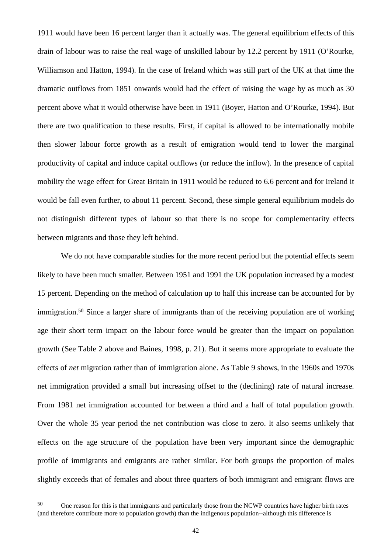1911 would have been 16 percent larger than it actually was. The general equilibrium effects of this drain of labour was to raise the real wage of unskilled labour by 12.2 percent by 1911 (O'Rourke, Williamson and Hatton, 1994). In the case of Ireland which was still part of the UK at that time the dramatic outflows from 1851 onwards would had the effect of raising the wage by as much as 30 percent above what it would otherwise have been in 1911 (Boyer, Hatton and O'Rourke, 1994). But there are two qualification to these results. First, if capital is allowed to be internationally mobile then slower labour force growth as a result of emigration would tend to lower the marginal productivity of capital and induce capital outflows (or reduce the inflow). In the presence of capital mobility the wage effect for Great Britain in 1911 would be reduced to 6.6 percent and for Ireland it would be fall even further, to about 11 percent. Second, these simple general equilibrium models do not distinguish different types of labour so that there is no scope for complementarity effects between migrants and those they left behind.

We do not have comparable studies for the more recent period but the potential effects seem likely to have been much smaller. Between 1951 and 1991 the UK population increased by a modest 15 percent. Depending on the method of calculation up to half this increase can be accounted for by immigration.<sup>50</sup> Since a larger share of immigrants than of the receiving population are of working age their short term impact on the labour force would be greater than the impact on population growth (See Table 2 above and Baines, 1998, p. 21). But it seems more appropriate to evaluate the effects of *net* migration rather than of immigration alone. As Table 9 shows, in the 1960s and 1970s net immigration provided a small but increasing offset to the (declining) rate of natural increase. From 1981 net immigration accounted for between a third and a half of total population growth. Over the whole 35 year period the net contribution was close to zero. It also seems unlikely that effects on the age structure of the population have been very important since the demographic profile of immigrants and emigrants are rather similar. For both groups the proportion of males slightly exceeds that of females and about three quarters of both immigrant and emigrant flows are

-

<sup>50</sup> One reason for this is that immigrants and particularly those from the NCWP countries have higher birth rates (and therefore contribute more to population growth) than the indigenous population--although this difference is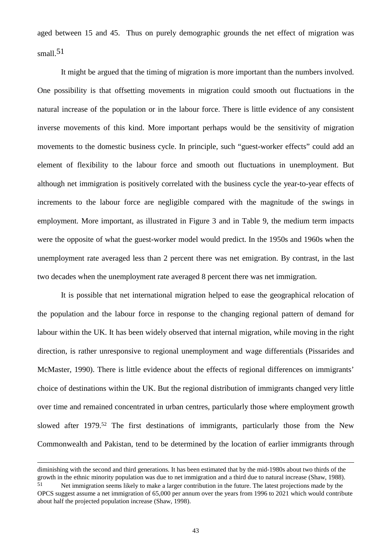aged between 15 and 45. Thus on purely demographic grounds the net effect of migration was small. $51$ 

 It might be argued that the timing of migration is more important than the numbers involved. One possibility is that offsetting movements in migration could smooth out fluctuations in the natural increase of the population or in the labour force. There is little evidence of any consistent inverse movements of this kind. More important perhaps would be the sensitivity of migration movements to the domestic business cycle. In principle, such "guest-worker effects" could add an element of flexibility to the labour force and smooth out fluctuations in unemployment. But although net immigration is positively correlated with the business cycle the year-to-year effects of increments to the labour force are negligible compared with the magnitude of the swings in employment. More important, as illustrated in Figure 3 and in Table 9, the medium term impacts were the opposite of what the guest-worker model would predict. In the 1950s and 1960s when the unemployment rate averaged less than 2 percent there was net emigration. By contrast, in the last two decades when the unemployment rate averaged 8 percent there was net immigration.

 It is possible that net international migration helped to ease the geographical relocation of the population and the labour force in response to the changing regional pattern of demand for labour within the UK. It has been widely observed that internal migration, while moving in the right direction, is rather unresponsive to regional unemployment and wage differentials (Pissarides and McMaster, 1990). There is little evidence about the effects of regional differences on immigrants' choice of destinations within the UK. But the regional distribution of immigrants changed very little over time and remained concentrated in urban centres, particularly those where employment growth slowed after 1979.52 The first destinations of immigrants, particularly those from the New Commonwealth and Pakistan, tend to be determined by the location of earlier immigrants through

 $\overline{a}$ 

diminishing with the second and third generations. It has been estimated that by the mid-1980s about two thirds of the growth in the ethnic minority population was due to net immigration and a third due to natural increase (Shaw, 1988). 51 Net immigration seems likely to make a larger contribution in the future. The latest projections made by the

OPCS suggest assume a net immigration of 65,000 per annum over the years from 1996 to 2021 which would contribute about half the projected population increase (Shaw, 1998).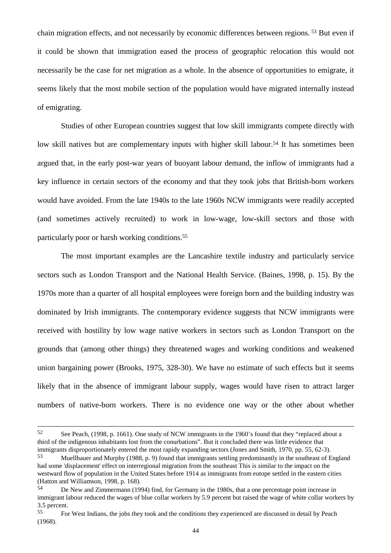chain migration effects, and not necessarily by economic differences between regions. 53 But even if it could be shown that immigration eased the process of geographic relocation this would not necessarily be the case for net migration as a whole. In the absence of opportunities to emigrate, it seems likely that the most mobile section of the population would have migrated internally instead of emigrating.

 Studies of other European countries suggest that low skill immigrants compete directly with low skill natives but are complementary inputs with higher skill labour.<sup>54</sup> It has sometimes been argued that, in the early post-war years of buoyant labour demand, the inflow of immigrants had a key influence in certain sectors of the economy and that they took jobs that British-born workers would have avoided. From the late 1940s to the late 1960s NCW immigrants were readily accepted (and sometimes actively recruited) to work in low-wage, low-skill sectors and those with particularly poor or harsh working conditions.55

 The most important examples are the Lancashire textile industry and particularly service sectors such as London Transport and the National Health Service. (Baines, 1998, p. 15). By the 1970s more than a quarter of all hospital employees were foreign born and the building industry was dominated by Irish immigrants. The contemporary evidence suggests that NCW immigrants were received with hostility by low wage native workers in sectors such as London Transport on the grounds that (among other things) they threatened wages and working conditions and weakened union bargaining power (Brooks, 1975, 328-30). We have no estimate of such effects but it seems likely that in the absence of immigrant labour supply, wages would have risen to attract larger numbers of native-born workers. There is no evidence one way or the other about whether

<sup>52</sup> See Peach, (1998, p. 1661). One study of NCW immigrants in the 1960's found that they "replaced about a third of the indigenous inhabitants lost from the conurbations". But it concluded there was little evidence that immigrants disproportionately entered the most rapidy expanding sectors (Jones and Smith, 1970, pp. 55, 62-3).

<sup>53</sup> Muellbauer and Murphy (1988, p. 9) found that immigrants settling predominantly in the southeast of England had some 'displacement' effect on interregional migration from the southeast This is similar to the impact on the westward flow of population in the United States before 1914 as immigrants from eutope settled in the eastern cities (Hatton and Williamson, 1998, p. 168).

<sup>54</sup> De New and Zimmermann (1994) find, for Germany in the 1980s, that a one percentage point increase in immigrant labour reduced the wages of blue collar workers by 5.9 percent but raised the wage of white collar workers by 3.5 percent.

<sup>55</sup> For West Indians, the jobs they took and the conditions they experienced are discussed in detail by Peach (1968).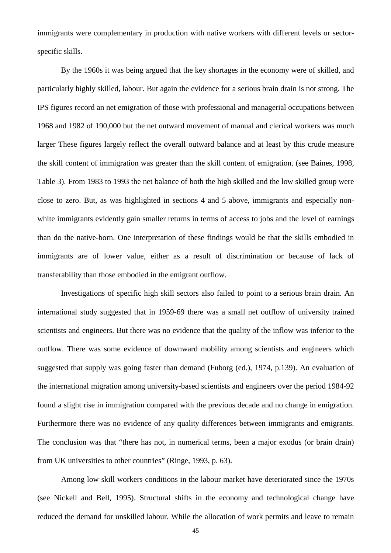immigrants were complementary in production with native workers with different levels or sectorspecific skills.

 By the 1960s it was being argued that the key shortages in the economy were of skilled, and particularly highly skilled, labour. But again the evidence for a serious brain drain is not strong. The IPS figures record an net emigration of those with professional and managerial occupations between 1968 and 1982 of 190,000 but the net outward movement of manual and clerical workers was much larger These figures largely reflect the overall outward balance and at least by this crude measure the skill content of immigration was greater than the skill content of emigration. (see Baines, 1998, Table 3). From 1983 to 1993 the net balance of both the high skilled and the low skilled group were close to zero. But, as was highlighted in sections 4 and 5 above, immigrants and especially nonwhite immigrants evidently gain smaller returns in terms of access to jobs and the level of earnings than do the native-born. One interpretation of these findings would be that the skills embodied in immigrants are of lower value, either as a result of discrimination or because of lack of transferability than those embodied in the emigrant outflow.

 Investigations of specific high skill sectors also failed to point to a serious brain drain. An international study suggested that in 1959-69 there was a small net outflow of university trained scientists and engineers. But there was no evidence that the quality of the inflow was inferior to the outflow. There was some evidence of downward mobility among scientists and engineers which suggested that supply was going faster than demand (Fuborg (ed.), 1974, p.139). An evaluation of the international migration among university-based scientists and engineers over the period 1984-92 found a slight rise in immigration compared with the previous decade and no change in emigration. Furthermore there was no evidence of any quality differences between immigrants and emigrants. The conclusion was that "there has not, in numerical terms, been a major exodus (or brain drain) from UK universities to other countries" (Ringe, 1993, p. 63).

 Among low skill workers conditions in the labour market have deteriorated since the 1970s (see Nickell and Bell, 1995). Structural shifts in the economy and technological change have reduced the demand for unskilled labour. While the allocation of work permits and leave to remain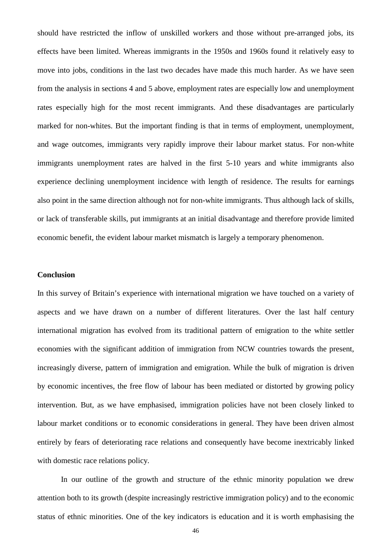should have restricted the inflow of unskilled workers and those without pre-arranged jobs, its effects have been limited. Whereas immigrants in the 1950s and 1960s found it relatively easy to move into jobs, conditions in the last two decades have made this much harder. As we have seen from the analysis in sections 4 and 5 above, employment rates are especially low and unemployment rates especially high for the most recent immigrants. And these disadvantages are particularly marked for non-whites. But the important finding is that in terms of employment, unemployment, and wage outcomes, immigrants very rapidly improve their labour market status. For non-white immigrants unemployment rates are halved in the first 5-10 years and white immigrants also experience declining unemployment incidence with length of residence. The results for earnings also point in the same direction although not for non-white immigrants. Thus although lack of skills, or lack of transferable skills, put immigrants at an initial disadvantage and therefore provide limited economic benefit, the evident labour market mismatch is largely a temporary phenomenon.

#### **Conclusion**

In this survey of Britain's experience with international migration we have touched on a variety of aspects and we have drawn on a number of different literatures. Over the last half century international migration has evolved from its traditional pattern of emigration to the white settler economies with the significant addition of immigration from NCW countries towards the present, increasingly diverse, pattern of immigration and emigration. While the bulk of migration is driven by economic incentives, the free flow of labour has been mediated or distorted by growing policy intervention. But, as we have emphasised, immigration policies have not been closely linked to labour market conditions or to economic considerations in general. They have been driven almost entirely by fears of deteriorating race relations and consequently have become inextricably linked with domestic race relations policy.

 In our outline of the growth and structure of the ethnic minority population we drew attention both to its growth (despite increasingly restrictive immigration policy) and to the economic status of ethnic minorities. One of the key indicators is education and it is worth emphasising the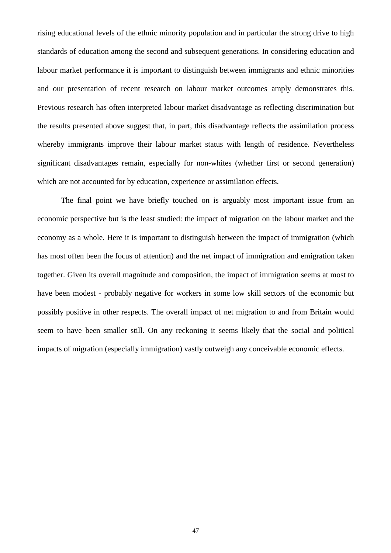rising educational levels of the ethnic minority population and in particular the strong drive to high standards of education among the second and subsequent generations. In considering education and labour market performance it is important to distinguish between immigrants and ethnic minorities and our presentation of recent research on labour market outcomes amply demonstrates this. Previous research has often interpreted labour market disadvantage as reflecting discrimination but the results presented above suggest that, in part, this disadvantage reflects the assimilation process whereby immigrants improve their labour market status with length of residence. Nevertheless significant disadvantages remain, especially for non-whites (whether first or second generation) which are not accounted for by education, experience or assimilation effects.

 The final point we have briefly touched on is arguably most important issue from an economic perspective but is the least studied: the impact of migration on the labour market and the economy as a whole. Here it is important to distinguish between the impact of immigration (which has most often been the focus of attention) and the net impact of immigration and emigration taken together. Given its overall magnitude and composition, the impact of immigration seems at most to have been modest - probably negative for workers in some low skill sectors of the economic but possibly positive in other respects. The overall impact of net migration to and from Britain would seem to have been smaller still. On any reckoning it seems likely that the social and political impacts of migration (especially immigration) vastly outweigh any conceivable economic effects.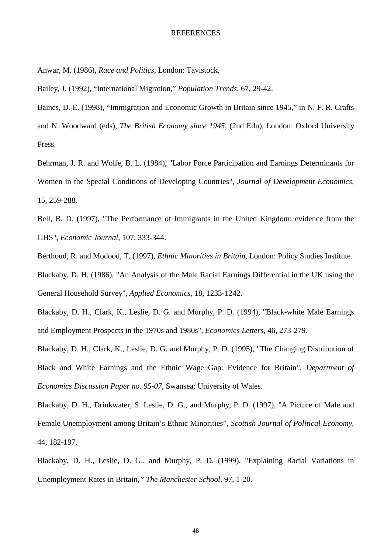#### **REFERENCES**

Anwar, M. (1986), *Race and Politics,* London: Tavistock.

Bailey, J. (1992), "International Migration," *Population Trends,* 67, 29-42.

Baines, D. E. (1998), "Immigration and Economic Growth in Britain since 1945," in N. F. R. Crafts and N. Woodward (eds), *The British Economy since 1945,* (2nd Edn), London: Oxford University Press.

Behrman, J. R. and Wolfe, B. L. (1984), "Labor Force Participation and Earnings Determinants for Women in the Special Conditions of Developing Countries", *Journal of Development Economics*, 15, 259-288.

Bell, B. D. (1997), "The Performance of Immigrants in the United Kingdom: evidence from the GHS", *Economic Journal*, 107, 333-344.

Berthoud, R. and Modood, T. (1997), *Ethnic Minorities in Britain,* London: Policy Studies Institute.

Blackaby, D. H. (1986), "An Analysis of the Male Racial Earnings Differential in the UK using the General Household Survey", *Applied Economics*, 18, 1233-1242.

Blackaby, D. H., Clark, K., Leslie, D. G. and Murphy, P. D. (1994), "Black-white Male Earnings and Employment Prospects in the 1970s and 1980s", *Economics Letters*, 46, 273-279.

Blackaby, D. H., Clark, K., Leslie, D. G. and Murphy, P. D. (1995), "The Changing Distribution of Black and White Earnings and the Ethnic Wage Gap: Evidence for Britain*", Department of Economics Discussion Paper no. 95-07*, Swansea: University of Wales.

Blackaby, D. H., Drinkwater, S. Leslie, D. G., and Murphy, P. D. (1997), "A Picture of Male and Female Unemployment among Britain's Ethnic Minorities", *Scottish Journal of Political Economy*, 44, 182-197.

Blackaby, D. H., Leslie, D. G., and Murphy, P. D. (1999), "Explaining Racial Variations in Unemployment Rates in Britain*," The Manchester School*, 97, 1-20.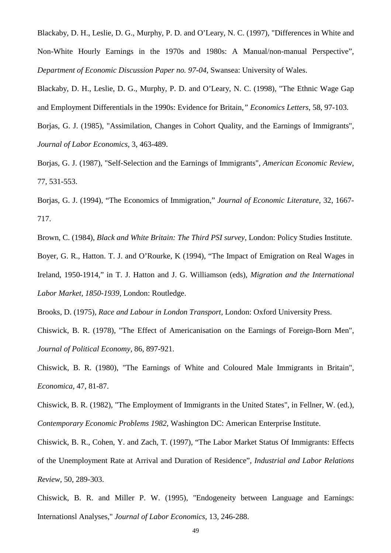Blackaby, D. H., Leslie, D. G., Murphy, P. D. and O'Leary, N. C. (1997), "Differences in White and Non-White Hourly Earnings in the 1970s and 1980s: A Manual/non-manual Perspective", *Department of Economic Discussion Paper no. 97-04*, Swansea: University of Wales.

Blackaby, D. H., Leslie, D. G., Murphy, P. D. and O'Leary, N. C. (1998), "The Ethnic Wage Gap and Employment Differentials in the 1990s: Evidence for Britain*," Economics Letters*, 58, 97-103.

Borjas, G. J. (1985), "Assimilation, Changes in Cohort Quality, and the Earnings of Immigrants", *Journal of Labor Economics*, 3, 463-489.

Borjas, G. J. (1987), "Self-Selection and the Earnings of Immigrants", *American Economic Review*, 77, 531-553.

Borjas, G. J. (1994), "The Economics of Immigration," *Journal of Economic Literature,* 32, 1667- 717.

Brown, C. (1984), *Black and White Britain: The Third PSI survey*, London: Policy Studies Institute. Boyer, G. R., Hatton. T. J. and O'Rourke, K (1994), "The Impact of Emigration on Real Wages in Ireland, 1950-1914," in T. J. Hatton and J. G. Williamson (eds), *Migration and the International Labor Market, 1850-1939,* London: Routledge.

Brooks, D. (1975), *Race and Labour in London Transport,* London: Oxford University Press.

Chiswick, B. R. (1978), "The Effect of Americanisation on the Earnings of Foreign-Born Men", *Journal of Political Economy*, 86, 897-921.

Chiswick, B. R. (1980), "The Earnings of White and Coloured Male Immigrants in Britain", *Economica*, 47, 81-87.

Chiswick, B. R. (1982), "The Employment of Immigrants in the United States", in Fellner, W. (ed.), *Contemporary Economic Problems 1982*, Washington DC: American Enterprise Institute.

Chiswick, B. R., Cohen, Y. and Zach, T. (1997), "The Labor Market Status Of Immigrants: Effects of the Unemployment Rate at Arrival and Duration of Residence", *Industrial and Labor Relations Review*, 50, 289-303.

Chiswick, B. R. and Miller P. W. (1995), "Endogeneity between Language and Earnings: Internationsl Analyses," *Journal of Labor Economics,* 13, 246-288.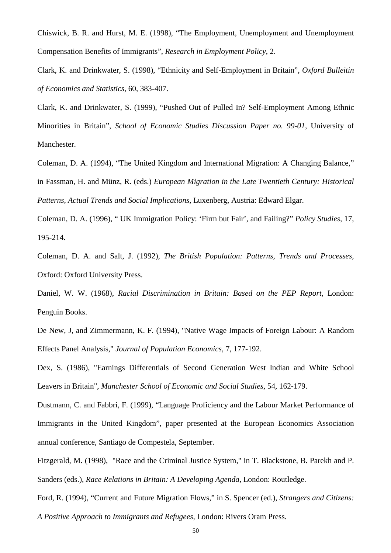Chiswick, B. R. and Hurst, M. E. (1998), "The Employment, Unemployment and Unemployment Compensation Benefits of Immigrants", *Research in Employment Policy*, 2.

Clark, K. and Drinkwater, S. (1998), "Ethnicity and Self-Employment in Britain", *Oxford Bulleitin of Economics and Statistics*, 60, 383-407.

Clark, K. and Drinkwater, S. (1999), "Pushed Out of Pulled In? Self-Employment Among Ethnic Minorities in Britain", *School of Economic Studies Discussion Paper no. 99-01*, University of Manchester.

Coleman, D. A. (1994), "The United Kingdom and International Migration: A Changing Balance," in Fassman, H. and Münz, R. (eds.) *European Migration in the Late Twentieth Century: Historical Patterns, Actual Trends and Social Implications,* Luxenberg, Austria: Edward Elgar.

Coleman, D. A. (1996), " UK Immigration Policy: 'Firm but Fair', and Failing?" *Policy Studies,* 17, 195-214.

Coleman, D. A. and Salt, J. (1992), *The British Population: Patterns, Trends and Processes,* Oxford: Oxford University Press.

Daniel, W. W. (1968), *Racial Discrimination in Britain: Based on the PEP Report*, London: Penguin Books.

De New, J, and Zimmermann, K. F. (1994), "Native Wage Impacts of Foreign Labour: A Random Effects Panel Analysis," *Journal of Population Economics,* 7, 177-192.

Dex, S. (1986), "Earnings Differentials of Second Generation West Indian and White School Leavers in Britain", *Manchester School of Economic and Social Studies*, 54, 162-179.

Dustmann, C. and Fabbri, F. (1999), "Language Proficiency and the Labour Market Performance of Immigrants in the United Kingdom", paper presented at the European Economics Association annual conference, Santiago de Compestela, September.

Fitzgerald, M. (1998), "Race and the Criminal Justice System," in T. Blackstone, B. Parekh and P. Sanders (eds.), *Race Relations in Britain: A Developing Agenda,* London: Routledge.

Ford, R. (1994), "Current and Future Migration Flows," in S. Spencer (ed.), *Strangers and Citizens:* 

*A Positive Approach to Immigrants and Refugees,* London: Rivers Oram Press.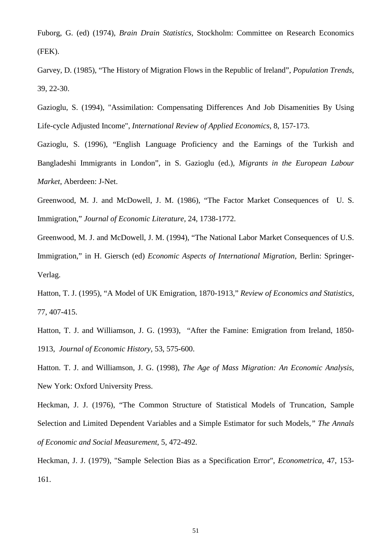Fuborg, G. (ed) (1974), *Brain Drain Statistics,* Stockholm: Committee on Research Economics (FEK).

Garvey, D. (1985), "The History of Migration Flows in the Republic of Ireland", *Population Trends,*  39, 22-30.

Gazioglu, S. (1994), "Assimilation: Compensating Differences And Job Disamenities By Using Life-cycle Adjusted Income", *International Review of Applied Economics*, 8, 157-173.

Gazioglu, S. (1996), "English Language Proficiency and the Earnings of the Turkish and Bangladeshi Immigrants in London", in S. Gazioglu (ed.), *Migrants in the European Labour Market*, Aberdeen: J-Net.

Greenwood, M. J. and McDowell, J. M. (1986), "The Factor Market Consequences of U. S. Immigration," *Journal of Economic Literature,* 24, 1738-1772.

Greenwood, M. J. and McDowell, J. M. (1994), "The National Labor Market Consequences of U.S. Immigration," in H. Giersch (ed) *Economic Aspects of International Migration,* Berlin: Springer-Verlag.

Hatton, T. J. (1995), "A Model of UK Emigration, 1870-1913," *Review of Economics and Statistics,*  77, 407-415.

Hatton, T. J. and Williamson, J. G. (1993), "After the Famine: Emigration from Ireland, 1850- 1913, *Journal of Economic History,* 53, 575-600.

Hatton. T. J. and Williamson, J. G. (1998), *The Age of Mass Migration: An Economic Analysis,* New York: Oxford University Press.

Heckman, J. J. (1976), "The Common Structure of Statistical Models of Truncation, Sample Selection and Limited Dependent Variables and a Simple Estimator for such Models*," The Annals of Economic and Social Measurement*, 5, 472-492.

Heckman, J. J. (1979), "Sample Selection Bias as a Specification Error", *Econometrica*, 47, 153- 161.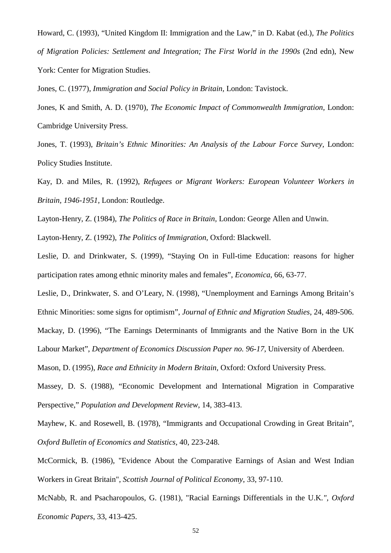Howard, C. (1993), "United Kingdom II: Immigration and the Law," in D. Kabat (ed.), *The Politics of Migration Policies: Settlement and Integration; The First World in the 1990s* (2nd edn), New York: Center for Migration Studies.

Jones, C. (1977), *Immigration and Social Policy in Britain,* London: Tavistock.

Jones, K and Smith, A. D. (1970), *The Economic Impact of Commonwealth Immigration,* London: Cambridge University Press.

Jones, T. (1993), *Britain's Ethnic Minorities: An Analysis of the Labour Force Survey,* London: Policy Studies Institute.

Kay, D. and Miles, R. (1992), *Refugees or Migrant Workers: European Volunteer Workers in Britain, 1946-1951,* London: Routledge.

Layton-Henry, Z. (1984), *The Politics of Race in Britain,* London: George Allen and Unwin.

Layton-Henry, Z. (1992), *The Politics of Immigration,* Oxford: Blackwell.

Leslie, D. and Drinkwater, S. (1999), "Staying On in Full-time Education: reasons for higher participation rates among ethnic minority males and females", *Economica*, 66, 63-77.

Leslie, D., Drinkwater, S. and O'Leary, N. (1998), "Unemployment and Earnings Among Britain's Ethnic Minorities: some signs for optimism", *Journal of Ethnic and Migration Studies*, 24, 489-506.

Mackay, D. (1996), "The Earnings Determinants of Immigrants and the Native Born in the UK

Labour Market", *Department of Economics Discussion Paper no. 96-17*, University of Aberdeen.

Mason, D. (1995), *Race and Ethnicity in Modern Britain,* Oxford: Oxford University Press.

Massey, D. S. (1988), "Economic Development and International Migration in Comparative Perspective," *Population and Development Review*, 14, 383-413.

Mayhew, K. and Rosewell, B. (1978), "Immigrants and Occupational Crowding in Great Britain", *Oxford Bulletin of Economics and Statistics*, 40, 223-248.

McCormick, B. (1986), "Evidence About the Comparative Earnings of Asian and West Indian Workers in Great Britain", *Scottish Journal of Political Economy*, 33, 97-110.

McNabb, R. and Psacharopoulos, G. (1981), "Racial Earnings Differentials in the U.K*.", Oxford Economic Papers*, 33, 413-425.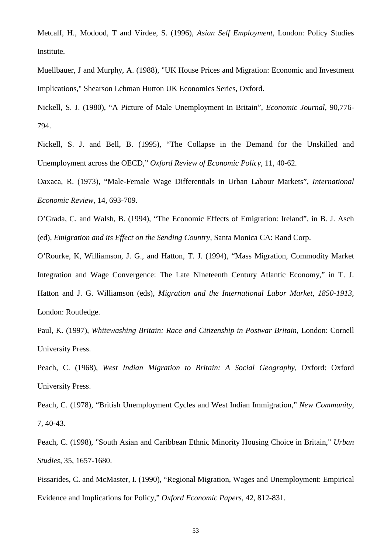Metcalf, H., Modood, T and Virdee, S. (1996), *Asian Self Employment,* London: Policy Studies Institute.

Muellbauer, J and Murphy, A. (1988), "UK House Prices and Migration: Economic and Investment Implications," Shearson Lehman Hutton UK Economics Series, Oxford.

Nickell, S. J. (1980), "A Picture of Male Unemployment In Britain", *Economic Journal*, 90,776- 794.

Nickell, S. J. and Bell, B. (1995), "The Collapse in the Demand for the Unskilled and Unemployment across the OECD," *Oxford Review of Economic Policy,* 11, 40-62.

Oaxaca, R. (1973), "Male-Female Wage Differentials in Urban Labour Markets", *International Economic Review*, 14, 693-709.

O'Grada, C. and Walsh, B. (1994), "The Economic Effects of Emigration: Ireland", in B. J. Asch (ed), *Emigration and its Effect on the Sending Country,* Santa Monica CA: Rand Corp.

O'Rourke, K, Williamson, J. G., and Hatton, T. J. (1994), "Mass Migration, Commodity Market Integration and Wage Convergence: The Late Nineteenth Century Atlantic Economy," in T. J. Hatton and J. G. Williamson (eds), *Migration and the International Labor Market, 1850-1913,* London: Routledge.

Paul, K. (1997), *Whitewashing Britain: Race and Citizenship in Postwar Britain,* London: Cornell University Press.

Peach, C. (1968), *West Indian Migration to Britain: A Social Geography*, Oxford: Oxford University Press.

Peach, C. (1978), "British Unemployment Cycles and West Indian Immigration," *New Community,* 7, 40-43.

Peach, C. (1998), "South Asian and Caribbean Ethnic Minority Housing Choice in Britain," *Urban Studies,* 35, 1657-1680.

Pissarides, C. and McMaster, I. (1990), "Regional Migration, Wages and Unemployment: Empirical Evidence and Implications for Policy," *Oxford Economic Papers,* 42, 812-831.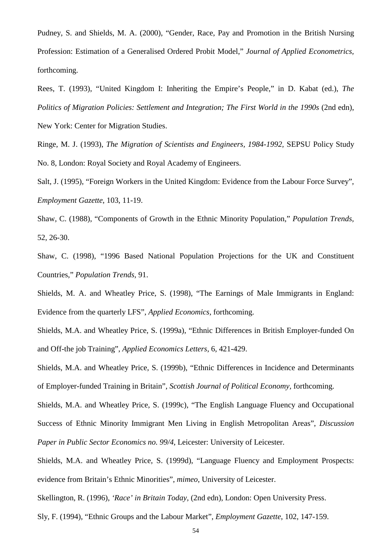Pudney, S. and Shields, M. A. (2000), "Gender, Race, Pay and Promotion in the British Nursing Profession: Estimation of a Generalised Ordered Probit Model," *Journal of Applied Econometrics,*  forthcoming.

Rees, T. (1993), "United Kingdom I: Inheriting the Empire's People," in D. Kabat (ed.), *The Politics of Migration Policies: Settlement and Integration; The First World in the 1990s* (2nd edn), New York: Center for Migration Studies.

Ringe, M. J. (1993), *The Migration of Scientists and Engineers, 1984-1992,* SEPSU Policy Study No. 8, London: Royal Society and Royal Academy of Engineers.

Salt, J. (1995), "Foreign Workers in the United Kingdom: Evidence from the Labour Force Survey", *Employment Gazette*, 103, 11-19.

Shaw, C. (1988), "Components of Growth in the Ethnic Minority Population," *Population Trends,* 52, 26-30.

Shaw, C. (1998), "1996 Based National Population Projections for the UK and Constituent Countries," *Population Trends,* 91.

Shields, M. A. and Wheatley Price, S. (1998), "The Earnings of Male Immigrants in England: Evidence from the quarterly LFS", *Applied Economics,* forthcoming.

Shields, M.A. and Wheatley Price, S. (1999a), "Ethnic Differences in British Employer-funded On and Off-the job Training", *Applied Economics Letters*, 6, 421-429.

Shields, M.A. and Wheatley Price, S. (1999b), "Ethnic Differences in Incidence and Determinants of Employer-funded Training in Britain", *Scottish Journal of Political Economy,* forthcoming.

Shields, M.A. and Wheatley Price, S. (1999c), "The English Language Fluency and Occupational Success of Ethnic Minority Immigrant Men Living in English Metropolitan Areas", *Discussion Paper in Public Sector Economics no. 99/4*, Leicester: University of Leicester.

Shields, M.A. and Wheatley Price, S. (1999d), "Language Fluency and Employment Prospects: evidence from Britain's Ethnic Minorities", *mimeo*, University of Leicester.

Skellington, R. (1996), *'Race' in Britain Today,* (2nd edn), London: Open University Press.

Sly, F. (1994), "Ethnic Groups and the Labour Market", *Employment Gazette*, 102, 147-159.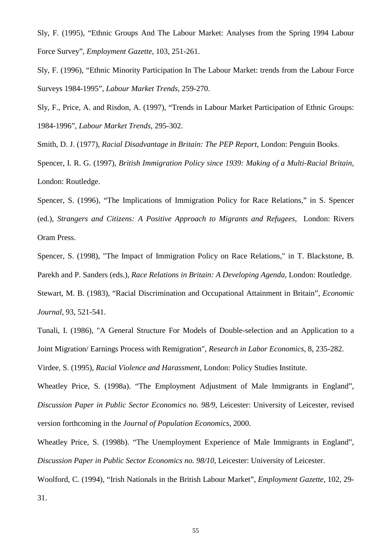Sly, F. (1995), "Ethnic Groups And The Labour Market: Analyses from the Spring 1994 Labour Force Survey", *Employment Gazette*, 103, 251-261.

Sly, F. (1996), "Ethnic Minority Participation In The Labour Market: trends from the Labour Force Surveys 1984-1995", *Labour Market Trends*, 259-270.

Sly, F., Price, A. and Risdon, A. (1997), "Trends in Labour Market Participation of Ethnic Groups: 1984-1996", *Labour Market Trends*, 295-302.

Smith, D. J. (1977), *Racial Disadvantage in Britain: The PEP Report*, London: Penguin Books.

Spencer, I. R. G. (1997), *British Immigration Policy since 1939: Making of a Multi-Racial Britain,* London: Routledge.

Spencer, S. (1996), "The Implications of Immigration Policy for Race Relations," in S. Spencer (ed.), *Strangers and Citizens: A Positive Approach to Migrants and Refugees,* London: Rivers Oram Press.

Spencer, S. (1998), "The Impact of Immigration Policy on Race Relations," in T. Blackstone, B. Parekh and P. Sanders (eds.), *Race Relations in Britain: A Developing Agenda,* London: Routledge. Stewart, M. B. (1983), "Racial Discrimination and Occupational Attainment in Britain", *Economic Journal*, 93, 521-541.

Tunali, I. (1986), "A General Structure For Models of Double-selection and an Application to a Joint Migration/ Earnings Process with Remigration", *Research in Labor Economics*, 8, 235-282.

Virdee, S. (1995), *Racial Violence and Harassment,* London: Policy Studies Institute.

Wheatley Price, S. (1998a). "The Employment Adjustment of Male Immigrants in England", *Discussion Paper in Public Sector Economics no. 98/9*, Leicester: University of Leicester, revised version forthcoming in the *Journal of Population Economics*, 2000.

Wheatley Price, S. (1998b). "The Unemployment Experience of Male Immigrants in England", *Discussion Paper in Public Sector Economics no. 98/10*, Leicester: University of Leicester.

Woolford, C. (1994), "Irish Nationals in the British Labour Market", *Employment Gazette*, 102, 29- 31.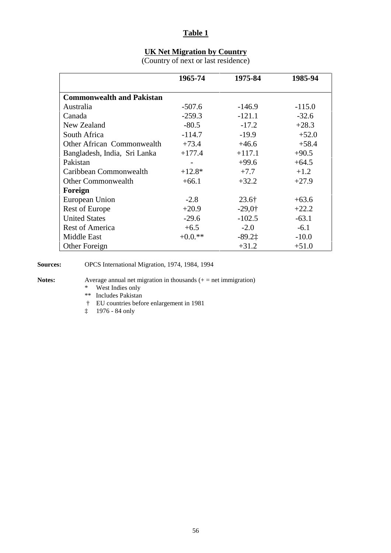# **UK Net Migration by Country**

(Country of next or last residence)

|                                   | 1965-74    | 1975-84              | 1985-94  |
|-----------------------------------|------------|----------------------|----------|
| <b>Commonwealth and Pakistan</b>  |            |                      |          |
| Australia                         | $-507.6$   | $-146.9$             | $-115.0$ |
| Canada                            | $-259.3$   | $-121.1$             | $-32.6$  |
| New Zealand                       | $-80.5$    | $-17.2$              | $+28.3$  |
| South Africa                      | $-114.7$   | $-19.9$              | $+52.0$  |
| <b>Other African Commonwealth</b> | $+73.4$    | $+46.6$              | $+58.4$  |
| Bangladesh, India, Sri Lanka      | $+177.4$   | $+117.1$             | $+90.5$  |
| Pakistan                          |            | $+99.6$              | $+64.5$  |
| Caribbean Commonwealth            | $+12.8*$   | $+7.7$               | $+1.2$   |
| <b>Other Commonwealth</b>         | $+66.1$    | $+32.2$              | $+27.9$  |
| Foreign                           |            |                      |          |
| European Union                    | $-2.8$     | $23.6\dagger$        | $+63.6$  |
| <b>Rest of Europe</b>             | $+20.9$    | $-29,0$ <sup>+</sup> | $+22.2$  |
| <b>United States</b>              | $-29.6$    | $-102.5$             | $-63.1$  |
| <b>Rest of America</b>            | $+6.5$     | $-2.0$               | $-6.1$   |
| Middle East                       | $+0.0$ .** | $-89.2$ ‡            | $-10.0$  |
| Other Foreign                     |            | $+31.2$              | $+51.0$  |

**Sources:** OPCS International Migration, 1974, 1984, 1994

**Notes:** Average annual net migration in thousands (+ = net immigration)

\* West Indies only

\*\* Includes Pakistan

† EU countries before enlargement in 1981

‡ 1976 - 84 only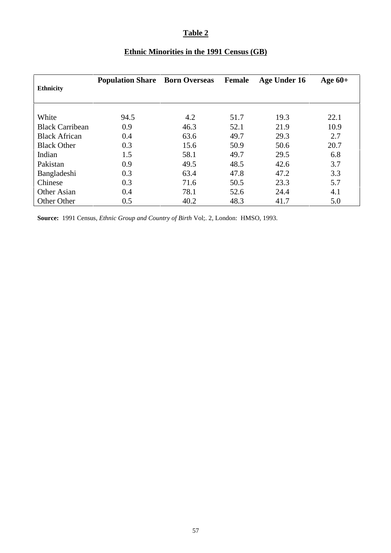| <b>Ethnicity</b>       | <b>Population Share</b> | <b>Born Overseas</b> | <b>Female</b> | Age Under 16 | Age $60+$ |
|------------------------|-------------------------|----------------------|---------------|--------------|-----------|
| White                  | 94.5                    | 4.2                  | 51.7          | 19.3         | 22.1      |
| <b>Black Carribean</b> | 0.9                     | 46.3                 | 52.1          | 21.9         | 10.9      |
| <b>Black African</b>   | 0.4                     | 63.6                 | 49.7          | 29.3         | 2.7       |
| <b>Black Other</b>     | 0.3                     | 15.6                 | 50.9          | 50.6         | 20.7      |
| Indian                 | 1.5                     | 58.1                 | 49.7          | 29.5         | 6.8       |
| Pakistan               | 0.9                     | 49.5                 | 48.5          | 42.6         | 3.7       |
| Bangladeshi            | 0.3                     | 63.4                 | 47.8          | 47.2         | 3.3       |
| Chinese                | 0.3                     | 71.6                 | 50.5          | 23.3         | 5.7       |
| Other Asian            | 0.4                     | 78.1                 | 52.6          | 24.4         | 4.1       |
| Other Other            | 0.5                     | 40.2                 | 48.3          | 41.7         | 5.0       |

# **Ethnic Minorities in the 1991 Census (GB)**

**Source:** 1991 Census, *Ethnic Group and Country of Birth* Vol;. 2, London: HMSO, 1993.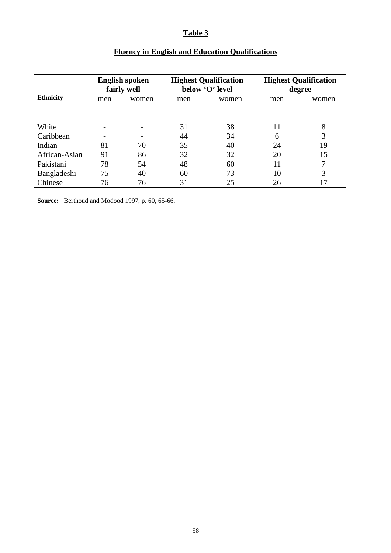|                  | <b>English spoken</b><br>fairly well |       |     | <b>Highest Qualification</b><br>below 'O' level | <b>Highest Qualification</b><br>degree |       |
|------------------|--------------------------------------|-------|-----|-------------------------------------------------|----------------------------------------|-------|
| <b>Ethnicity</b> | men                                  | women | men | women                                           | men                                    | women |
|                  |                                      |       |     |                                                 |                                        |       |
| White            |                                      |       | 31  | 38                                              | 11                                     | 8     |
| Caribbean        |                                      |       | 44  | 34                                              | 6                                      | 3     |
| Indian           | 81                                   | 70    | 35  | 40                                              | 24                                     | 19    |
| African-Asian    | 91                                   | 86    | 32  | 32                                              | 20                                     | 15    |
| Pakistani        | 78                                   | 54    | 48  | 60                                              | 11                                     |       |
| Bangladeshi      | 75                                   | 40    | 60  | 73                                              | 10                                     | 3     |
| Chinese          | 76                                   | 76    | 31  | 25                                              | 26                                     |       |

# **Fluency in English and Education Qualifications**

**Source:** Berthoud and Modood 1997, p. 60, 65-66.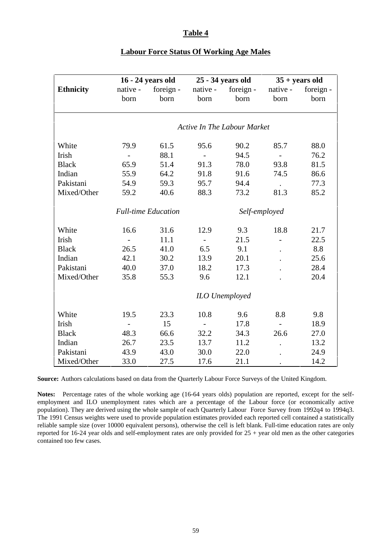|                  | 16 - 24 years old        |                            |          | 25 - 34 years old                  |          | $35 + years$ old |  |
|------------------|--------------------------|----------------------------|----------|------------------------------------|----------|------------------|--|
| <b>Ethnicity</b> | native -                 | foreign -                  | native - | foreign -                          | native - | foreign -        |  |
|                  | born                     | born                       | born     | born                               | born     | born             |  |
|                  |                          |                            |          | <b>Active In The Labour Market</b> |          |                  |  |
| White            | 79.9                     | 61.5                       | 95.6     | 90.2                               | 85.7     | 88.0             |  |
| Irish            |                          | 88.1                       |          | 94.5                               |          | 76.2             |  |
| <b>Black</b>     | 65.9                     | 51.4                       | 91.3     | 78.0                               | 93.8     | 81.5             |  |
| Indian           | 55.9                     | 64.2                       | 91.8     | 91.6                               | 74.5     | 86.6             |  |
| Pakistani        | 54.9                     | 59.3                       | 95.7     | 94.4                               |          | 77.3             |  |
| Mixed/Other      | 59.2                     | 40.6                       | 88.3     | 73.2                               | 81.3     | 85.2             |  |
|                  |                          | <b>Full-time Education</b> |          | Self-employed                      |          |                  |  |
| White            | 16.6                     | 31.6                       | 12.9     | 9.3                                | 18.8     | 21.7             |  |
| Irish            |                          | 11.1                       |          | 21.5                               |          | 22.5             |  |
| <b>Black</b>     | 26.5                     | 41.0                       | 6.5      | 9.1                                |          | 8.8              |  |
| Indian           | 42.1                     | 30.2                       | 13.9     | 20.1                               |          | 25.6             |  |
| Pakistani        | 40.0                     | 37.0                       | 18.2     | 17.3                               |          | 28.4             |  |
| Mixed/Other      | 35.8                     | 55.3                       | 9.6      | 12.1                               |          | 20.4             |  |
|                  | <b>ILO</b> Unemployed    |                            |          |                                    |          |                  |  |
| White            | 19.5                     | 23.3                       | 10.8     | 9.6                                | 8.8      | 9.8              |  |
| Irish            | $\overline{\phantom{a}}$ | 15                         |          | 17.8                               |          | 18.9             |  |
| <b>Black</b>     | 48.3                     | 66.6                       | 32.2     | 34.3                               | 26.6     | 27.0             |  |
| Indian           | 26.7                     | 23.5                       | 13.7     | 11.2                               |          | 13.2             |  |
| Pakistani        | 43.9                     | 43.0                       | 30.0     | 22.0                               |          | 24.9             |  |
| Mixed/Other      | 33.0                     | 27.5                       | 17.6     | 21.1                               |          | 14.2             |  |

#### **Labour Force Status Of Working Age Males**

**Source:** Authors calculations based on data from the Quarterly Labour Force Surveys of the United Kingdom.

**Notes:** Percentage rates of the whole working age (16-64 years olds) population are reported, except for the selfemployment and ILO unemployment rates which are a percentage of the Labour force (or economically active population). They are derived using the whole sample of each Quarterly Labour Force Survey from 1992q4 to 1994q3. The 1991 Census weights were used to provide population estimates provided each reported cell contained a statistically reliable sample size (over 10000 equivalent persons), otherwise the cell is left blank. Full-time education rates are only reported for 16-24 year olds and self-employment rates are only provided for 25 + year old men as the other categories contained too few cases.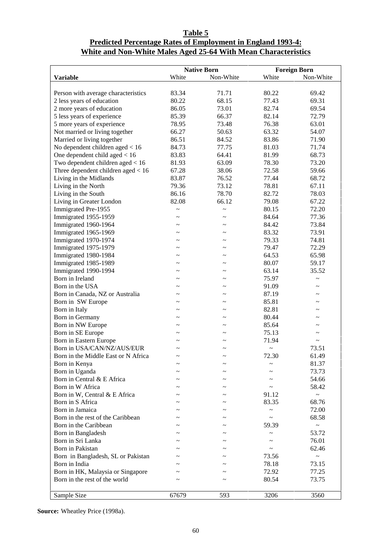## **Table 5 Predicted Percentage Rates of Employment in England 1993-4: White and Non-White Males Aged 25-64 With Mean Characteristics**

|                                      | <b>Native Born</b>    |                       |                       | <b>Foreign Born</b>   |
|--------------------------------------|-----------------------|-----------------------|-----------------------|-----------------------|
| <b>Variable</b>                      | White                 | Non-White             | White                 | Non-White             |
|                                      |                       |                       |                       |                       |
| Person with average characteristics  | 83.34                 | 71.71                 | 80.22                 | 69.42                 |
| 2 less years of education            | 80.22                 | 68.15                 | 77.43                 | 69.31                 |
| 2 more years of education            | 86.05                 | 73.01                 | 82.74                 | 69.54                 |
| 5 less years of experience           | 85.39                 | 66.37                 | 82.14                 | 72.79                 |
| 5 more years of experience           | 78.95                 | 73.48                 | 76.38                 | 63.01                 |
| Not married or living together       | 66.27                 | 50.63                 | 63.32                 | 54.07                 |
| Married or living together           | 86.51                 | 84.52                 | 83.86                 | 71.90                 |
| No dependent children aged $< 16$    | 84.73                 | 77.75                 | 81.03                 | 71.74                 |
| One dependent child aged $< 16$      | 83.83                 | 64.41                 | 81.99                 | 68.73                 |
|                                      |                       | 63.09                 |                       | 73.20                 |
| Two dependent children aged $< 16$   | 81.93                 |                       | 78.30                 |                       |
| Three dependent children aged $< 16$ | 67.28                 | 38.06                 | 72.58                 | 59.66                 |
| Living in the Midlands               | 83.87                 | 76.52                 | 77.44                 | 68.72                 |
| Living in the North                  | 79.36                 | 73.12                 | 78.81                 | 67.11                 |
| Living in the South                  | 86.16                 | 78.70                 | 82.72                 | 78.03                 |
| Living in Greater London             | 82.08                 | 66.12                 | 79.08                 | 67.22                 |
| Immigrated Pre-1955                  | $\tilde{\phantom{a}}$ | $\tilde{\phantom{a}}$ | 80.15                 | 72.20                 |
| Immigrated 1955-1959                 |                       |                       | 84.64                 | 77.36                 |
| Immigrated 1960-1964                 |                       |                       | 84.42                 | 73.84                 |
| Immigrated 1965-1969                 |                       |                       | 83.32                 | 73.91                 |
| Immigrated 1970-1974                 |                       |                       | 79.33                 | 74.81                 |
| Immigrated 1975-1979                 |                       |                       | 79.47                 | 72.29                 |
| Immigrated 1980-1984                 |                       |                       | 64.53                 | 65.98                 |
| Immigrated 1985-1989                 |                       |                       | 80.07                 | 59.17                 |
| Immigrated 1990-1994                 |                       |                       | 63.14                 | 35.52                 |
| Born in Ireland                      |                       |                       | 75.97                 | $\tilde{\phantom{a}}$ |
| Born in the USA                      |                       |                       | 91.09                 | $\tilde{\phantom{a}}$ |
| Born in Canada, NZ or Australia      |                       |                       | 87.19                 |                       |
| Born in SW Europe                    |                       |                       | 85.81                 |                       |
| Born in Italy                        |                       |                       | 82.81                 | $\tilde{\phantom{a}}$ |
| Born in Germany                      |                       |                       | 80.44                 |                       |
| Born in NW Europe                    |                       |                       | 85.64                 | $\tilde{\phantom{a}}$ |
| Born in SE Europe                    |                       |                       | 75.13                 | $\thicksim$           |
| Born in Eastern Europe               |                       |                       | 71.94                 | $\thicksim$           |
| Born in USA/CAN/NZ/AUS/EUR           |                       |                       | $\tilde{\phantom{a}}$ | 73.51                 |
| Born in the Middle East or N Africa  |                       | J                     | 72.30                 | 61.49                 |
| Born in Kenya                        |                       |                       | $\tilde{\phantom{a}}$ | 81.37                 |
| Born in Uganda                       |                       |                       |                       | 73.73                 |
| Born in Central & E Africa           |                       |                       |                       | 54.66                 |
| Born in W Africa                     |                       |                       |                       | 58.42                 |
|                                      |                       |                       |                       |                       |
| Born in W, Central & E Africa        |                       |                       | 91.12                 | $\tilde{\phantom{a}}$ |
| Born in S Africa                     |                       |                       | 83.35                 | 68.76                 |
| Born in Jamaica                      |                       |                       | $\tilde{}$            | 72.00                 |
| Born in the rest of the Caribbean    |                       |                       | $\sim$                | 68.58                 |
| Born in the Caribbean                |                       |                       | 59.39                 | $\tilde{\phantom{a}}$ |
| Born in Bangladesh                   |                       |                       | $\tilde{}$            | 53.72                 |
| Born in Sri Lanka                    |                       |                       |                       | 76.01                 |
| Born in Pakistan                     |                       |                       |                       | 62.46                 |
| Born in Bangladesh, SL or Pakistan   |                       |                       | 73.56                 | $\sim$                |
| Born in India                        |                       |                       | 78.18                 | 73.15                 |
| Born in HK, Malaysia or Singapore    |                       |                       | 72.92                 | 77.25                 |
| Born in the rest of the world        |                       |                       | 80.54                 | 73.75                 |
|                                      |                       |                       |                       |                       |
| Sample Size                          | 67679                 | 593                   | 3206                  | 3560                  |

**Source:** Wheatley Price (1998a).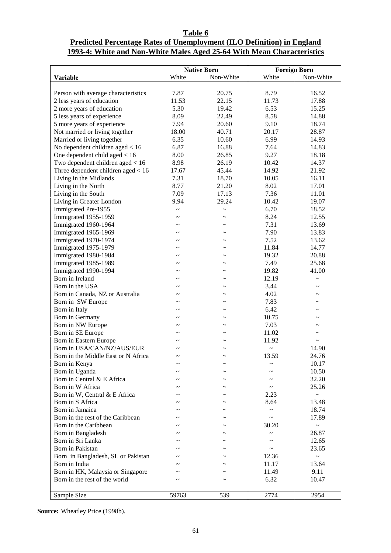## **Table 6 Predicted Percentage Rates of Unemployment (ILO Definition) in England 1993-4: White and Non-White Males Aged 25-64 With Mean Characteristics**

|                                      | <b>Native Born</b>    |             | <b>Foreign Born</b>   |                       |
|--------------------------------------|-----------------------|-------------|-----------------------|-----------------------|
| <b>Variable</b>                      | White                 | Non-White   | White                 | Non-White             |
|                                      |                       |             |                       |                       |
| Person with average characteristics  | 7.87                  | 20.75       | 8.79                  | 16.52                 |
| 2 less years of education            | 11.53                 | 22.15       | 11.73                 | 17.88                 |
| 2 more years of education            | 5.30                  | 19.42       | 6.53                  | 15.25                 |
| 5 less years of experience           | 8.09                  | 22.49       | 8.58                  | 14.88                 |
| 5 more years of experience           | 7.94                  | 20.60       | 9.10                  | 18.74                 |
| Not married or living together       | 18.00                 | 40.71       | 20.17                 | 28.87                 |
| Married or living together           | 6.35                  | 10.60       | 6.99                  | 14.93                 |
| No dependent children aged $< 16$    | 6.87                  | 16.88       | 7.64                  | 14.83                 |
| One dependent child aged $< 16$      | 8.00                  | 26.85       | 9.27                  | 18.18                 |
| Two dependent children aged $< 16$   | 8.98                  | 26.19       | 10.42                 | 14.37                 |
| Three dependent children aged $< 16$ | 17.67                 | 45.44       | 14.92                 | 21.92                 |
|                                      | 7.31                  | 18.70       | 10.05                 | 16.11                 |
| Living in the Midlands               |                       |             |                       |                       |
| Living in the North                  | 8.77                  | 21.20       | 8.02                  | 17.01                 |
| Living in the South                  | 7.09                  | 17.13       | 7.36                  | 11.01                 |
| Living in Greater London             | 9.94                  | 29.24       | 10.42                 | 19.07                 |
| Immigrated Pre-1955                  | $\tilde{\phantom{a}}$ | $\tilde{ }$ | 6.70                  | 18.52                 |
| Immigrated 1955-1959                 | $\tilde{\phantom{a}}$ |             | 8.24                  | 12.55                 |
| Immigrated 1960-1964                 |                       |             | 7.31                  | 13.69                 |
| Immigrated 1965-1969                 |                       |             | 7.90                  | 13.83                 |
| Immigrated 1970-1974                 |                       |             | 7.52                  | 13.62                 |
| Immigrated 1975-1979                 |                       |             | 11.84                 | 14.77                 |
| Immigrated 1980-1984                 |                       |             | 19.32                 | 20.88                 |
| Immigrated 1985-1989                 |                       |             | 7.49                  | 25.68                 |
| Immigrated 1990-1994                 |                       |             | 19.82                 | 41.00                 |
| Born in Ireland                      |                       |             | 12.19                 | $\tilde{\phantom{a}}$ |
| Born in the USA                      |                       |             | 3.44                  |                       |
| Born in Canada, NZ or Australia      |                       |             | 4.02                  |                       |
| Born in SW Europe                    |                       |             | 7.83                  |                       |
| Born in Italy                        |                       |             | 6.42                  |                       |
| Born in Germany                      |                       |             | 10.75                 | $\tilde{\phantom{a}}$ |
| Born in NW Europe                    |                       |             | 7.03                  | $\tilde{\phantom{a}}$ |
| Born in SE Europe                    |                       |             | 11.02                 | ~                     |
| Born in Eastern Europe               |                       |             | 11.92                 | $\tilde{}$            |
| Born in USA/CAN/NZ/AUS/EUR           |                       |             | $\tilde{\phantom{a}}$ | 14.90                 |
| Born in the Middle East or N Africa  |                       |             | 13.59                 | 24.76                 |
| Born in Kenya                        |                       |             | $\tilde{}$            | 10.17                 |
| Born in Uganda                       |                       |             |                       | 10.50                 |
| Born in Central & E Africa           |                       |             |                       | 32.20                 |
| Born in W Africa                     |                       |             |                       | 25.26                 |
| Born in W, Central & E Africa        |                       |             | 2.23                  | $\thicksim$           |
| Born in S Africa                     |                       |             | 8.64                  | 13.48                 |
| Born in Jamaica                      |                       |             | $\tilde{\phantom{a}}$ | 18.74                 |
| Born in the rest of the Caribbean    |                       |             | $\tilde{\phantom{a}}$ | 17.89                 |
| Born in the Caribbean                |                       |             |                       |                       |
|                                      |                       |             | 30.20                 | $\thicksim$           |
| Born in Bangladesh                   |                       |             |                       | 26.87                 |
| Born in Sri Lanka                    |                       |             |                       | 12.65                 |
| Born in Pakistan                     |                       |             |                       | 23.65                 |
| Born in Bangladesh, SL or Pakistan   |                       |             | 12.36                 | $\tilde{}$            |
| Born in India                        |                       |             | 11.17                 | 13.64                 |
| Born in HK, Malaysia or Singapore    |                       |             | 11.49                 | 9.11                  |
| Born in the rest of the world        |                       |             | 6.32                  | 10.47                 |
|                                      |                       |             |                       |                       |
| Sample Size                          | 59763                 | 539         | 2774                  | 2954                  |

**Source:** Wheatley Price (1998b).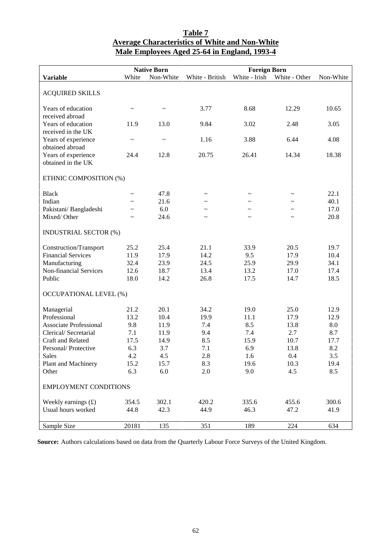|                                          |                       | <b>Native Born</b> |                 | <b>Foreign Born</b>   |                       |              |
|------------------------------------------|-----------------------|--------------------|-----------------|-----------------------|-----------------------|--------------|
| <b>Variable</b>                          | White                 | Non-White          | White - British | White - Irish         | White - Other         | Non-White    |
|                                          |                       |                    |                 |                       |                       |              |
| <b>ACQUIRED SKILLS</b>                   |                       |                    |                 |                       |                       |              |
|                                          |                       |                    |                 |                       |                       |              |
| Years of education                       | $\tilde{\phantom{a}}$ |                    | 3.77            | 8.68                  | 12.29                 | 10.65        |
| received abroad                          |                       |                    |                 |                       |                       |              |
| Years of education<br>received in the UK | 11.9                  | 13.0               | 9.84            | 3.02                  | 2.48                  | 3.05         |
| Years of experience                      | $\thicksim$           | $\tilde{}$         | 1.16            | 3.88                  | 6.44                  | 4.08         |
| obtained abroad                          |                       |                    |                 |                       |                       |              |
| Years of experience                      | 24.4                  | 12.8               | 20.75           | 26.41                 | 14.34                 | 18.38        |
| obtained in the UK                       |                       |                    |                 |                       |                       |              |
|                                          |                       |                    |                 |                       |                       |              |
| ETHNIC COMPOSITION (%)                   |                       |                    |                 |                       |                       |              |
|                                          |                       |                    |                 |                       |                       |              |
| <b>Black</b>                             | $\thicksim$           | 47.8               |                 |                       | $\tilde{}$            | 22.1         |
| Indian                                   |                       | 21.6               |                 |                       |                       | 40.1         |
| Pakistani/ Bangladeshi                   | $\thicksim$           | 6.0                |                 | $\tilde{\phantom{a}}$ | $\tilde{\phantom{a}}$ | 17.0         |
| Mixed/Other                              | $\thicksim$           | 24.6               | $\tilde{}$      | $\tilde{\phantom{a}}$ | $\tilde{\phantom{a}}$ | 20.8         |
|                                          |                       |                    |                 |                       |                       |              |
| <b>INDUSTRIAL SECTOR (%)</b>             |                       |                    |                 |                       |                       |              |
|                                          |                       |                    |                 |                       |                       |              |
| Construction/Transport                   | 25.2                  | 25.4               | 21.1            | 33.9                  | 20.5                  | 19.7         |
| <b>Financial Services</b>                | 11.9<br>32.4          | 17.9<br>23.9       | 14.2<br>24.5    | 9.5                   | 17.9<br>29.9          | 10.4<br>34.1 |
| Manufacturing<br>Non-financial Services  | 12.6                  | 18.7               | 13.4            | 25.9<br>13.2          | 17.0                  | 17.4         |
| Public                                   | 18.0                  | 14.2               | 26.8            | 17.5                  | 14.7                  | 18.5         |
|                                          |                       |                    |                 |                       |                       |              |
| <b>OCCUPATIONAL LEVEL (%)</b>            |                       |                    |                 |                       |                       |              |
|                                          |                       |                    |                 |                       |                       |              |
| Managerial                               | 21.2                  | 20.1               | 34.2            | 19.0                  | 25.0                  | 12.9         |
| Professional                             | 13.2                  | 10.4               | 19.9            | 11.1                  | 17.9                  | 12.9         |
| <b>Associate Professional</b>            | 9.8                   | 11.9               | 7.4             | 8.5                   | 13.8                  | 8.0          |
| Clerical/Secretarial                     | 7.1                   | 11.9               | 9.4             | 7.4                   | 2.7                   | 8.7          |
| <b>Craft and Related</b>                 | 17.5                  | 14.9               | 8.5             | 15.9                  | 10.7                  | 17.7         |
| Personal/Protective                      | 6.3                   | 3.7                | 7.1             | 6.9                   | 13.8                  | 8.2          |
| Sales                                    | 4.2                   | 4.5                | 2.8             | 1.6                   | 0.4                   | 3.5          |
| Plant and Machinery                      | 15.2                  | 15.7               | 8.3             | 19.6                  | 10.3                  | 19.4         |
| Other                                    | 6.3                   | 6.0                | $2.0\,$         | 9.0                   | 4.5                   | 8.5          |
| <b>EMPLOYMENT CONDITIONS</b>             |                       |                    |                 |                       |                       |              |
|                                          |                       |                    |                 |                       |                       |              |
| Weekly earnings $(f)$                    | 354.5                 | 302.1              | 420.2           | 335.6                 | 455.6                 | 300.6        |
| Usual hours worked                       | 44.8                  | 42.3               | 44.9            | 46.3                  | 47.2                  | 41.9         |
|                                          |                       |                    |                 |                       |                       |              |
| Sample Size                              | 20181                 | 135                | 351             | 189                   | 224                   | 634          |

## **Table 7 Average Characteristics of White and Non-White Male Employees Aged 25-64 in England, 1993-4**

**Source:** Authors calculations based on data from the Quarterly Labour Force Surveys of the United Kingdom.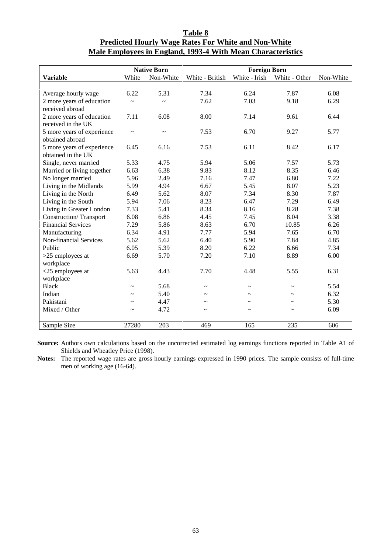|                               |                       | <b>Native Born</b>    |                       |                       | <b>Foreign Born</b> |           |  |
|-------------------------------|-----------------------|-----------------------|-----------------------|-----------------------|---------------------|-----------|--|
| <b>Variable</b>               | White                 | Non-White             | White - British       | White - Irish         | White - Other       | Non-White |  |
|                               |                       |                       |                       |                       |                     |           |  |
| Average hourly wage           | 6.22                  | 5.31                  | 7.34                  | 6.24                  | 7.87                | 6.08      |  |
| 2 more years of education     | $\sim$                | $\tilde{\phantom{a}}$ | 7.62                  | 7.03                  | 9.18                | 6.29      |  |
| received abroad               |                       |                       |                       |                       |                     |           |  |
| 2 more years of education     | 7.11                  | 6.08                  | 8.00                  | 7.14                  | 9.61                | 6.44      |  |
| received in the UK            |                       |                       |                       |                       |                     |           |  |
| 5 more years of experience    | $\tilde{\phantom{a}}$ | $\thicksim$           | 7.53                  | 6.70                  | 9.27                | 5.77      |  |
| obtained abroad               |                       |                       |                       |                       |                     |           |  |
| 5 more years of experience    | 6.45                  | 6.16                  | 7.53                  | 6.11                  | 8.42                | 6.17      |  |
| obtained in the UK            |                       |                       |                       |                       |                     |           |  |
| Single, never married         | 5.33                  | 4.75                  | 5.94                  | 5.06                  | 7.57                | 5.73      |  |
| Married or living together    | 6.63                  | 6.38                  | 9.83                  | 8.12                  | 8.35                | 6.46      |  |
| No longer married             | 5.96                  | 2.49                  | 7.16                  | 7.47                  | 6.80                | 7.22      |  |
| Living in the Midlands        | 5.99                  | 4.94                  | 6.67                  | 5.45                  | 8.07                | 5.23      |  |
| Living in the North           | 6.49                  | 5.62                  | 8.07                  | 7.34                  | 8.30                | 7.87      |  |
| Living in the South           | 5.94                  | 7.06                  | 8.23                  | 6.47                  | 7.29                | 6.49      |  |
| Living in Greater London      | 7.33                  | 5.41                  | 8.34                  | 8.16                  | 8.28                | 7.38      |  |
| <b>Construction/Transport</b> | 6.08                  | 6.86                  | 4.45                  | 7.45                  | 8.04                | 3.38      |  |
| <b>Financial Services</b>     | 7.29                  | 5.86                  | 8.63                  | 6.70                  | 10.85               | 6.26      |  |
| Manufacturing                 | 6.34                  | 4.91                  | 7.77                  | 5.94                  | 7.65                | 6.70      |  |
| Non-financial Services        | 5.62                  | 5.62                  | 6.40                  | 5.90                  | 7.84                | 4.85      |  |
| Public                        | 6.05                  | 5.39                  | 8.20                  | 6.22                  | 6.66                | 7.34      |  |
| $>25$ employees at            | 6.69                  | 5.70                  | 7.20                  | 7.10                  | 8.89                | 6.00      |  |
| workplace                     |                       |                       |                       |                       |                     |           |  |
| <25 employees at              | 5.63                  | 4.43                  | 7.70                  | 4.48                  | 5.55                | 6.31      |  |
| workplace                     |                       |                       |                       |                       |                     |           |  |
| <b>Black</b>                  | $\thicksim$           | 5.68                  | $\thicksim$           | $\tilde{\phantom{a}}$ | $\tilde{}$          | 5.54      |  |
| Indian                        | $\tilde{}$            | 5.40                  | $\sim$                | $\sim$                | $\sim$              | 6.32      |  |
| Pakistani                     | $\sim$                | 4.47                  | $\sim$                | $\sim$                | $\sim$              | 5.30      |  |
| Mixed / Other                 | $\sim$                | 4.72                  | $\tilde{\phantom{a}}$ | $\sim$                | $\sim$              | 6.09      |  |
|                               |                       |                       |                       |                       |                     |           |  |
| Sample Size                   | 27280                 | 203                   | 469                   | 165                   | 235                 | 606       |  |

#### **Table 8 Predicted Hourly Wage Rates For White and Non-White Male Employees in England, 1993-4 With Mean Characteristics**

Source: Authors own calculations based on the uncorrected estimated log earnings functions reported in Table A1 of Shields and Wheatley Price (1998).

**Notes:** The reported wage rates are gross hourly earnings expressed in 1990 prices. The sample consists of full-time men of working age (16-64).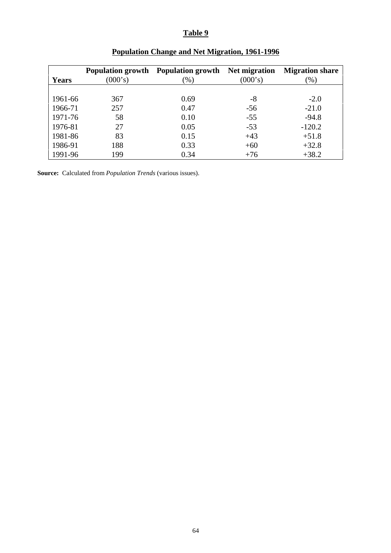|         |         | Population growth Population growth Net migration |         | <b>Migration share</b> |
|---------|---------|---------------------------------------------------|---------|------------------------|
| Years   | (000's) | $(\% )$                                           | (000's) | (%)                    |
|         |         |                                                   |         |                        |
| 1961-66 | 367     | 0.69                                              | -8      | $-2.0$                 |
| 1966-71 | 257     | 0.47                                              | $-56$   | $-21.0$                |
| 1971-76 | 58      | 0.10                                              | $-55$   | $-94.8$                |
| 1976-81 | 27      | 0.05                                              | $-53$   | $-120.2$               |
| 1981-86 | 83      | 0.15                                              | $+43$   | $+51.8$                |
| 1986-91 | 188     | 0.33                                              | $+60$   | $+32.8$                |
| 1991-96 | 199     | 0.34                                              | $+76$   | $+38.2$                |

# **Population Change and Net Migration, 1961-1996**

**Source:** Calculated from *Population Trends* (various issues).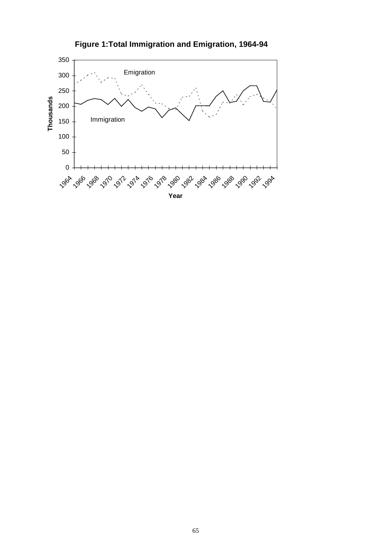

**Figure 1:Total Immigration and Emigration, 1964-94**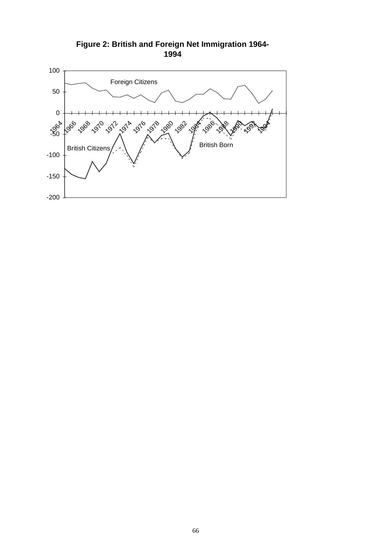

# **Figure 2: British and Foreign Net Immigration 1964-**